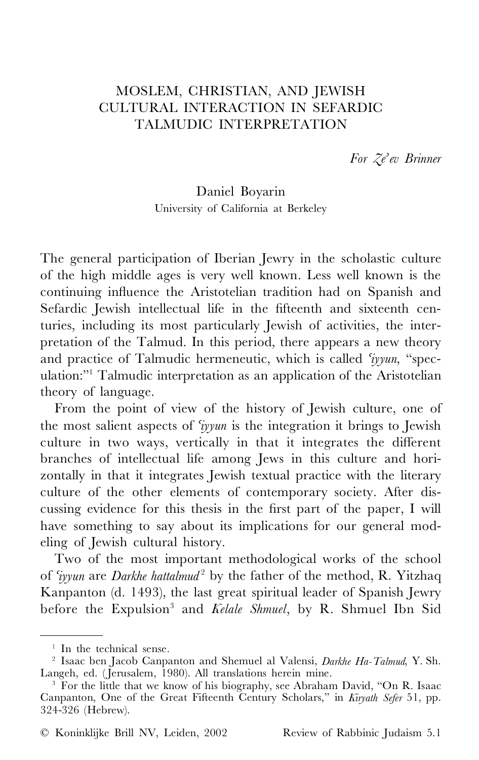# MOSLEM, CHRISTIAN, AND JEWISH CULTURAL INTERACTION IN SEFARDIC TALMUDIC INTERPRETATION

*For Ze"ev Brinner*

# Daniel Boyarin University of California at Berkeley

The general participation of Iberian Jewry in the scholastic culture of the high middle ages is very well known. Less well known is the continuing influence the Aristotelian tradition had on Spanish and Sefardic Jewish intellectual life in the fifteenth and sixteenth centuries, including its most particularly Jewish of activities, the interpretation of the Talmud. In this period, there appears a new theory and practice of Talmudic hermeneutic, which is called *'iyyun*, "speculation:"<sup>1</sup> Talmudic interpretation as an application of the Aristotelian theory of language.

From the point of view of the history of Jewish culture, one of the most salient aspects of *'iyyun* is the integration it brings to Jewish culture in two ways, vertically in that it integrates the different branches of intellectual life among Jews in this culture and horizontally in that it integrates Jewish textual practice with the literary culture of the other elements of contemporary society. After discussing evidence for this thesis in the first part of the paper, I will have something to say about its implications for our general modeling of Jewish cultural history.

Two of the most important methodological works of the school of '*iyyun* are *Darkhe hattalmud*<sup>2</sup> by the father of the method, R. Yitzhaq Kanpanton (d. 1493), the last great spiritual leader of Spanish Jewry before the Expulsion<sup>3</sup> and *Kelale Shmuel*, by R. Shmuel Ibn Sid

<sup>&</sup>lt;sup>1</sup> In the technical sense.

<sup>2</sup> Isaac ben Jacob Canpanton and Shemuel al Valensi, *Darkhe Ha-Talmud*, Y. Sh. Langeh, ed. ( Jerusalem, 1980). All translations herein mine.

<sup>&</sup>lt;sup>3</sup> For the little that we know of his biography, see Abraham David, "On R. Isaac Canpanton, One of the Great Fifteenth Century Scholars," in *Kiryath Sefer* 51, pp. 324-326 (Hebrew).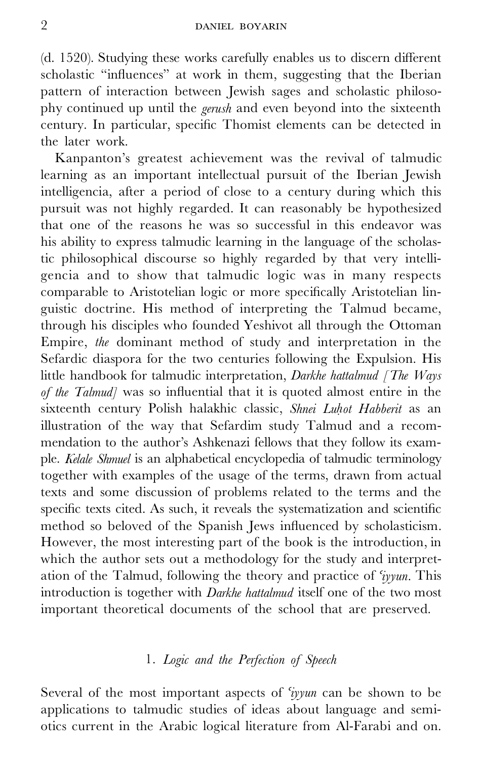$(d. 1520)$ . Studying these works carefully enables us to discern different scholastic "influences" at work in them, suggesting that the Iberian pattern of interaction between Jewish sages and scholastic philosophy continued up until the *gerush* and even beyond into the sixteenth century. In particular, specific Thomist elements can be detected in the later work.

Kanpanton's greatest achievement was the revival of talmudic learning as an important intellectual pursuit of the Iberian Jewish intelligencia, after a period of close to a century during which this pursuit was not highly regarded. It can reasonably be hypothesized that one of the reasons he was so successful in this endeavor was his ability to express talmudic learning in the language of the scholastic philosophical discourse so highly regarded by that very intelligencia and to show that talmudic logic was in many respects comparable to Aristotelian logic or more specifically Aristotelian linguistic doctrine. His method of interpreting the Talmud became, through his disciples who founded Yeshivot all through the Ottoman Empire, *the* dominant method of study and interpretation in the Sefardic diaspora for the two centuries following the Expulsion. His little handbook for talmudic interpretation, *Darkhe hattalmud [The Ways of the Talmud* was so influential that it is quoted almost entire in the sixteenth century Polish halakhic classic, *Shnei Luúot Habberit* as an illustration of the way that Sefardim study Talmud and a recommendation to the author's Ashkenazi fellows that they follow its example. *Kelale Shmuel* is an alphabetical encyclopedia of talmudic terminology together with examples of the usage of the terms, drawn from actual texts and some discussion of problems related to the terms and the specific texts cited. As such, it reveals the systematization and scientific method so beloved of the Spanish Jews influenced by scholasticism. However, the most interesting part of the book is the introduction, in which the author sets out a methodology for the study and interpretation of the Talmud, following the theory and practice of *'iyyun.* This introduction is together with *Darkhe hattalmud* itself one of the two most important theoretical documents of the school that are preserved.

#### 1. *Logic and the Perfection of Speech*

Several of the most important aspects of *'iyyun* can be shown to be applications to talmudic studies of ideas about language and semiotics current in the Arabic logical literature from Al-Farabi and on.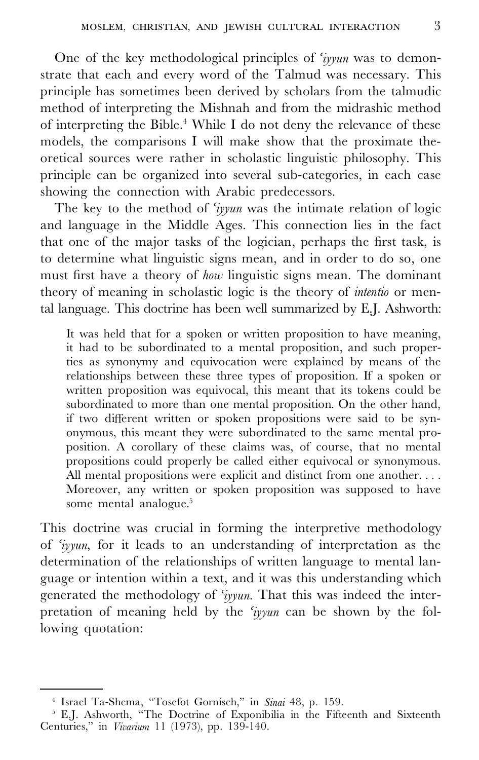One of the key methodological principles of *'iyyun* was to demonstrate that each and every word of the Talmud was necessary. This principle has sometimes been derived by scholars from the talmudic method of interpreting the Mishnah and from the midrashic method of interpreting the Bible.<sup>4</sup> While I do not deny the relevance of these models, the comparisons I will make show that the proximate theoretical sources were rather in scholastic linguistic philosophy. This principle can be organized into several sub-categories, in each case showing the connection with Arabic predecessors.

The key to the method of *'iyyun* was the intimate relation of logic and language in the Middle Ages. This connection lies in the fact that one of the major tasks of the logician, perhaps the first task, is to determine what linguistic signs mean, and in order to do so, one must first have a theory of *how* linguistic signs mean. The dominant theory of meaning in scholastic logic is the theory of *intentio* or mental language. This doctrine has been well summarized by E.J. Ashworth:

It was held that for a spoken or written proposition to have meaning, it had to be subordinated to a mental proposition, and such properties as synonymy and equivocation were explained by means of the relationships between these three types of proposition. If a spoken or written proposition was equivocal, this meant that its tokens could be subordinated to more than one mental proposition. On the other hand, if two different written or spoken propositions were said to be synonymous, this meant they were subordinated to the same mental proposition. A corollary of these claims was, of course, that no mental propositions could properly be called either equivocal or synonymous. All mental propositions were explicit and distinct from one another. . . . Moreover, any written or spoken proposition was supposed to have some mental analogue.<sup>5</sup>

This doctrine was crucial in forming the interpretive methodology of *'iyyun*, for it leads to an understanding of interpretation as the determination of the relationships of written language to mental language or intention within a text, and it was this understanding which generated the methodology of *'iyyun.* That this was indeed the interpretation of meaning held by the *'iyyun* can be shown by the following quotation:

<sup>4</sup> Israel Ta-Shema, "Tosefot Gornisch," in *Sinai* 48, p. 159.

<sup>&</sup>lt;sup>5</sup> E.J. Ashworth, "The Doctrine of Exponibilia in the Fifteenth and Sixteenth Centuries," in *Vivarium* 11 (1973), pp. 139-140.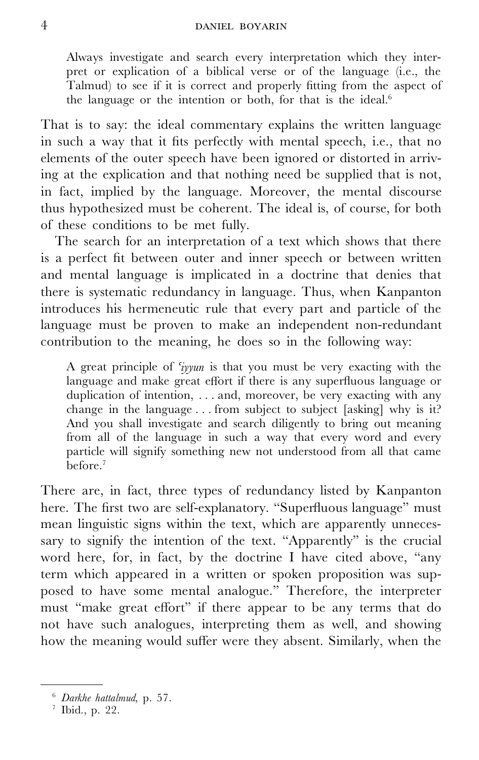Always investigate and search every interpretation which they interpret or explication of a biblical verse or of the language (i.e., the Talmud) to see if it is correct and properly tting from the aspect of the language or the intention or both, for that is the ideal.<sup>6</sup>

That is to say: the ideal commentary explains the written language in such a way that it fits perfectly with mental speech, i.e., that no elements of the outer speech have been ignored or distorted in arriving at the explication and that nothing need be supplied that is not, in fact, implied by the language. Moreover, the mental discourse thus hypothesized must be coherent. The ideal is, of course, for both of these conditions to be met fully.

The search for an interpretation of a text which shows that there is a perfect fit between outer and inner speech or between written and mental language is implicated in a doctrine that denies that there is systematic redundancy in language. Thus, when Kanpanton introduces his hermeneutic rule that every part and particle of the language must be proven to make an independent non-redundant contribution to the meaning, he does so in the following way:

A great principle of *'iyyun* is that you must be very exacting with the language and make great effort if there is any superfluous language or duplication of intention, . . . and, moreover, be very exacting with any change in the language . . . from subject to subject [asking] why is it? And you shall investigate and search diligently to bring out meaning from all of the language in such a way that every word and every particle will signify something new not understood from all that came before.<sup>7</sup>

There are, in fact, three types of redundancy listed by Kanpanton here. The first two are self-explanatory. "Superfluous language" must mean linguistic signs within the text, which are apparently unnecessary to signify the intention of the text. "Apparently" is the crucial word here, for, in fact, by the doctrine I have cited above, "any term which appeared in a written or spoken proposition was supposed to have some mental analogue." Therefore, the interpreter must "make great effort" if there appear to be any terms that do not have such analogues, interpreting them as well, and showing how the meaning would suffer were they absent. Similarly, when the

<sup>6</sup> *Darkhe hattalmud*, p. 57.

<sup>7</sup> Ibid., p. 22.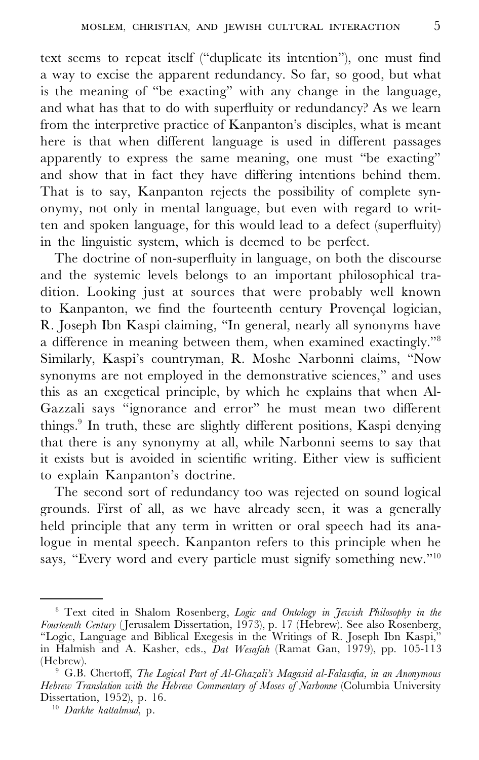text seems to repeat itself ("duplicate its intention"), one must find a way to excise the apparent redundancy. So far, so good, but what is the meaning of "be exacting" with any change in the language, and what has that to do with superfluity or redundancy? As we learn from the interpretive practice of Kanpanton's disciples, what is meant here is that when different language is used in different passages apparently to express the same meaning, one must "be exacting" and show that in fact they have differing intentions behind them. That is to say, Kanpanton rejects the possibility of complete synonymy, not only in mental language, but even with regard to written and spoken language, for this would lead to a defect (superfluity) in the linguistic system, which is deemed to be perfect.

The doctrine of non-superfluity in language, on both the discourse and the systemic levels belongs to an important philosophical tradition. Looking just at sources that were probably well known to Kanpanton, we find the fourteenth century Provençal logician, R. Joseph Ibn Kaspi claiming, "In general, nearly all synonyms have a difference in meaning between them, when examined exactingly."<sup>8</sup> Similarly, Kaspi's countryman, R. Moshe Narbonni claims, "Now synonyms are not employed in the demonstrative sciences," and uses this as an exegetical principle, by which he explains that when Al-Gazzali says "ignorance and error" he must mean two different things.<sup>9</sup> In truth, these are slightly different positions, Kaspi denying that there is any synonymy at all, while Narbonni seems to say that it exists but is avoided in scientific writing. Either view is sufficient to explain Kanpanton's doctrine.

The second sort of redundancy too was rejected on sound logical grounds. First of all, as we have already seen, it was a generally held principle that any term in written or oral speech had its analogue in mental speech. Kanpanton refers to this principle when he says, "Every word and every particle must signify something new."<sup>10</sup>

<sup>8</sup> Text cited in Shalom Rosenberg, *Logic and Ontology in Jewish Philosophy in the Fourteenth Century* ( Jerusalem Dissertation, 1973), p. 17 (Hebrew). See also Rosenberg, "Logic, Language and Biblical Exegesis in the Writings of R. Joseph Ibn Kaspi," in Halmish and A. Kasher, eds., *Dat Wesafah* (Ramat Gan, 1979), pp. 105-113 (Hebrew).

<sup>&</sup>lt;sup>9</sup> G.B. Chertoff, *The Logical Part of Al-Ghazali's Magasid al-Falasafia, in an Anonymous Hebrew Translation with the Hebrew Commentary of Moses of Narbonne* (Columbia University Dissertation, 1952), p. 16.

<sup>10</sup> *Darkhe hattalmud*, p.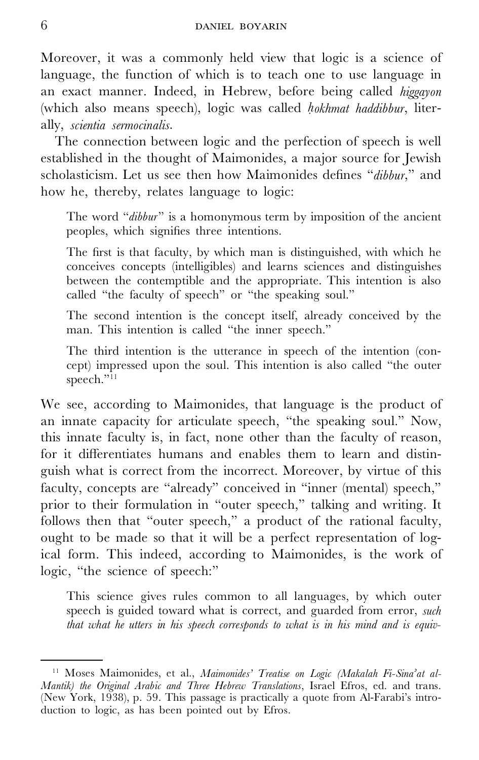Moreover, it was a commonly held view that logic is a science of language, the function of which is to teach one to use language in an exact manner. Indeed, in Hebrew, before being called *higgayon* (which also means speech), logic was called *úokhmat haddibbur*, literally, *scientia sermocinalis*.

The connection between logic and the perfection of speech is well established in the thought of Maimonides, a major source for Jewish scholasticism. Let us see then how Maimonides defines "*dibbur*," and how he, thereby, relates language to logic:

The word "*dibbur*" is a homonymous term by imposition of the ancient peoples, which signifies three intentions.

The first is that faculty, by which man is distinguished, with which he conceives concepts (intelligibles) and learns sciences and distinguishes between the contemptible and the appropriate. This intention is also called "the faculty of speech" or "the speaking soul."

The second intention is the concept itself, already conceived by the man. This intention is called "the inner speech."

The third intention is the utterance in speech of the intention (concept) impressed upon the soul. This intention is also called "the outer speech."<sup>11</sup>

We see, according to Maimonides, that language is the product of an innate capacity for articulate speech, "the speaking soul." Now, this innate faculty is, in fact, none other than the faculty of reason, for it differentiates humans and enables them to learn and distinguish what is correct from the incorrect. Moreover, by virtue of this faculty, concepts are "already" conceived in "inner (mental) speech," prior to their formulation in "outer speech," talking and writing. It follows then that "outer speech," a product of the rational faculty, ought to be made so that it will be a perfect representation of logical form. This indeed, according to Maimonides, is the work of logic, "the science of speech:"

This science gives rules common to all languages, by which outer speech is guided toward what is correct, and guarded from error, *such that what he utters in his speech corresponds to what is in his mind and is equiv-*

<sup>&</sup>lt;sup>11</sup> Moses Maimonides, et al., *Maimonides' Treatise on Logic (Makalah Fi-Sina'at al-Mantik) the Original Arabic and Three Hebrew Translations*, Israel Efros, ed. and trans. (New York, 1938), p. 59. This passage is practically a quote from Al-Farabi's introduction to logic, as has been pointed out by Efros.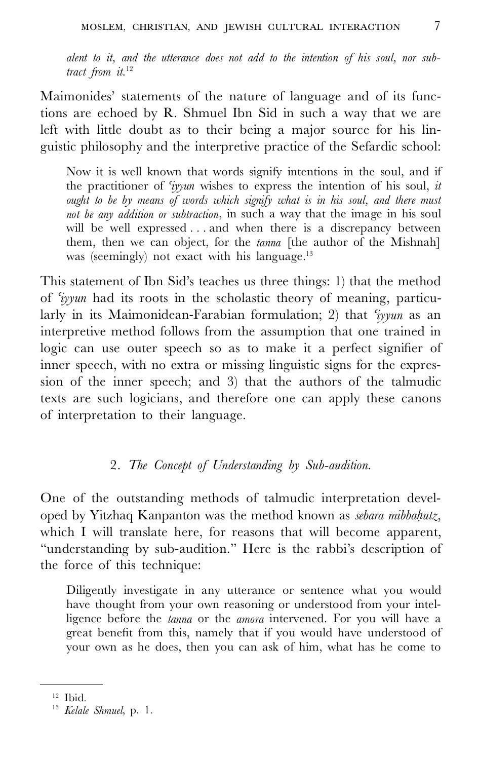*alent to it, and the utterance does not add to the intention of his soul, nor subtract from it.*<sup>12</sup>

Maimonides' statements of the nature of language and of its functions are echoed by R. Shmuel Ibn Sid in such a way that we are left with little doubt as to their being a major source for his lin guistic philosophy and the interpretive practice of the Sefardic school:

Now it is well known that words signify intentions in the soul, and if the practitioner of *'iyyun* wishes to express the intention of his soul, *it ought to be by means of words which signify what is in his soul, and there must not be any addition or subtraction*, in such a way that the image in his soul will be well expressed . . . and when there is a discrepancy between them, then we can object, for the *tanna* [the author of the Mishnah] was (seemingly) not exact with his language.<sup>13</sup>

This statement of Ibn Sid's teaches us three things: 1) that the method of *'iyyun* had its roots in the scholastic theory of meaning, particularly in its Maimonidean-Farabian formulation; 2) that *'iyyun* as an interpretive method follows from the assumption that one trained in logic can use outer speech so as to make it a perfect signifier of inner speech, with no extra or missing linguistic signs for the expression of the inner speech; and 3) that the authors of the talmudic texts are such logicians, and therefore one can apply these canons of interpretation to their language.

# 2. *The Concept of Understanding by Sub-audition.*

One of the outstanding methods of talmudic interpretation developed by Yitzhaq Kanpanton was the method known as *sebara mibbaúutz*, which I will translate here, for reasons that will become apparent, "understanding by sub-audition." Here is the rabbi's description of the force of this technique:

Diligently investigate in any utterance or sentence what you would have thought from your own reasoning or understood from your intelligence before the *tanna* or the *amora* intervened. For you will have a great benefit from this, namely that if you would have understood of your own as he does, then you can ask of him, what has he come to

 $12$  Ibid.

<sup>13</sup> *Kelale Shmuel*, p. 1.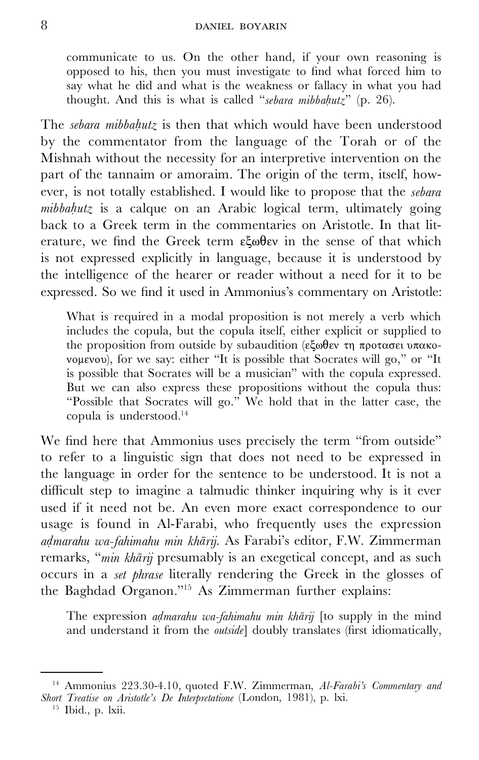communicate to us. On the other hand, if your own reasoning is opposed to his, then you must investigate to find what forced him to say what he did and what is the weakness or fallacy in what you had thought. And this is what is called "*sebara mibbaúutz*" (p. 26).

The *sebara mibbaúutz* is then that which would have been understood by the commentator from the language of the Torah or of the Mishnah without the necessity for an interpretive intervention on the part of the tannaim or amoraim. The origin of the term, itself, however, is not totally established. I would like to propose that the *sebara mibbabutz* is a calque on an Arabic logical term, ultimately going back to a Greek term in the commentaries on Aristotle. In that literature, we find the Greek term  $\varepsilon \xi \omega \theta \varepsilon$  in the sense of that which is not expressed explicitly in language, because it is understood by the intelligence of the hearer or reader without a need for it to be expressed. So we find it used in Ammonius's commentary on Aristotle:

What is required in a modal proposition is not merely a verb which includes the copula, but the copula itself, either explicit or supplied to the proposition from outside by subaudition ( $\varepsilon \xi \omega \theta \varepsilon v$  τη προτασει υπακοvouevou), for we say: either "It is possible that Socrates will go," or "It is possible that Socrates will be a musician" with the copula expressed. But we can also express these propositions without the copula thus: "Possible that Socrates will go." We hold that in the latter case, the copula is understood.<sup>14</sup>

We find here that Ammonius uses precisely the term "from outside" to refer to a linguistic sign that does not need to be expressed in the language in order for the sentence to be understood. It is not a difficult step to imagine a talmudic thinker inquiring why is it ever used if it need not be. An even more exact correspondence to our usage is found in Al-Farabi, who frequently uses the expression *a¶marahu wa-fahimahu min khˆrij*. As Farabi's editor, F.W. Zimmerman remarks, "*min khˆrij* presumably is an exegetical concept, and as such occurs in a *set phrase* literally rendering the Greek in the glosses of the Baghdad Organon."<sup>15</sup> As Zimmerman further explains:

The expression *admarahu wa-fahimahu min khārij* [to supply in the mind and understand it from the *outside*] doubly translates (first idiomatically,

<sup>14</sup> Ammonius 223.30-4.10, quoted F.W. Zimmerman, *Al-Farabi's Commentary and Short Treatise on Aristotle's De Interpretatione* (London, 1981), p. lxi.

<sup>15</sup> Ibid., p. lxii.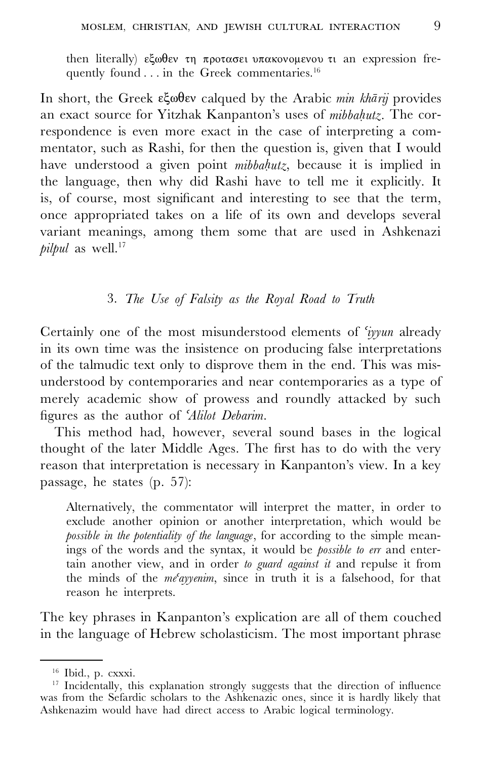then literally) εξωθεν τη προτασει υπακονομενου τι an expression frequently found . . . in the Greek commentaries.<sup>16</sup>

In short, the Greek εξωθεν calqued by the Arabic *min khārij* provides an exact source for Yitzhak Kanpanton's uses of *mibbaúutz.* The correspondence is even more exact in the case of interpreting a commentator, such as Rashi, for then the question is, given that I would have understood a given point *mibbaúutz*, because it is implied in the language, then why did Rashi have to tell me it explicitly. It is, of course, most significant and interesting to see that the term, once appropriated takes on a life of its own and develops several variant meanings, among them some that are used in Ashkenazi *pilpul* as well.<sup>17</sup>

#### 3. *The Use of Falsity as the Royal Road to Truth*

Certainly one of the most misunderstood elements of *'iyyun* already in its own time was the insistence on producing false interpretations of the talmudic text only to disprove them in the end. This was misunderstood by contemporaries and near contemporaries as a type of merely academic show of prowess and roundly attacked by such gures as the author of *'Alilot Debarim.*

This method had, however, several sound bases in the logical thought of the later Middle Ages. The first has to do with the very reason that interpretation is necessary in Kanpanton's view. In a key passage, he states (p. 57):

Alternatively, the commentator will interpret the matter, in order to exclude another opinion or another interpretation, which would be *possible in the potentiality of the language*, for according to the simple meanings of the words and the syntax, it would be *possible to err* and entertain another view, and in order *to guard against it* and repulse it from the minds of the *me'ayyenim*, since in truth it is a falsehood, for that reason he interprets.

The key phrases in Kanpanton's explication are all of them couched in the language of Hebrew scholasticism. The most important phrase

<sup>16</sup> Ibid., p. cxxxi.

 $17$  Incidentally, this explanation strongly suggests that the direction of influence was from the Sefardic scholars to the Ashkenazic ones, since it is hardly likely that Ashkenazim would have had direct access to Arabic logical terminology.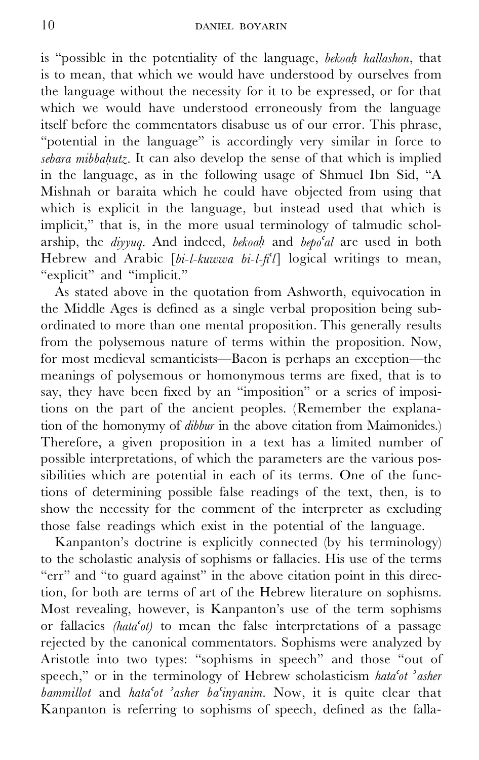is "possible in the potentiality of the language, *bekoaú hallashon*, that is to mean, that which we would have understood by ourselves from the language without the necessity for it to be expressed, or for that which we would have understood erroneously from the language itself before the commentators disabuse us of our error. This phrase, "potential in the language" is accordingly very similar in force to *sebara mibbaúutz.* It can also develop the sense of that which is implied in the language, as in the following usage of Shmuel Ibn Sid, "A Mishnah or baraita which he could have objected from using that which is explicit in the language, but instead used that which is implicit," that is, in the more usual terminology of talmudic scholarship, the *diyyuq.* And indeed, *bekoaú* and *bepo'al* are used in both Hebrew and Arabic [*bi-l-kuwwa bi-l-'l*] logical writings to mean, "explicit" and "implicit."

As stated above in the quotation from Ashworth, equivocation in the Middle Ages is defined as a single verbal proposition being subordinated to more than one mental proposition. This generally results from the polysemous nature of terms within the proposition. Now, for most medieval semanticists—Bacon is perhaps an exception—the meanings of polysemous or homonymous terms are fixed, that is to say, they have been fixed by an "imposition" or a series of impositions on the part of the ancient peoples. (Remember the explanation of the homonymy of *dibbur* in the above citation from Maimonides.) Therefore, a given proposition in a text has a limited number of possible interpretations, of which the parameters are the various possibilities which are potential in each of its terms. One of the functions of determining possible false readings of the text, then, is to show the necessity for the comment of the interpreter as excluding those false readings which exist in the potential of the language.

Kanpanton's doctrine is explicitly connected (by his terminology) to the scholastic analysis of sophisms or fallacies. His use of the terms "err" and "to guard against" in the above citation point in this direction, for both are terms of art of the Hebrew literature on sophisms. Most revealing, however, is Kanpanton's use of the term sophisms or fallacies *(hata'ot)* to mean the false interpretations of a passage rejected by the canonical commentators. Sophisms were analyzed by Aristotle into two types: "sophisms in speech" and those "out of speech," or in the terminology of Hebrew scholasticism *hata'ot "asher bammillot* and *hata'ot "asher ba'inyanim.* Now, it is quite clear that Kanpanton is referring to sophisms of speech, defined as the falla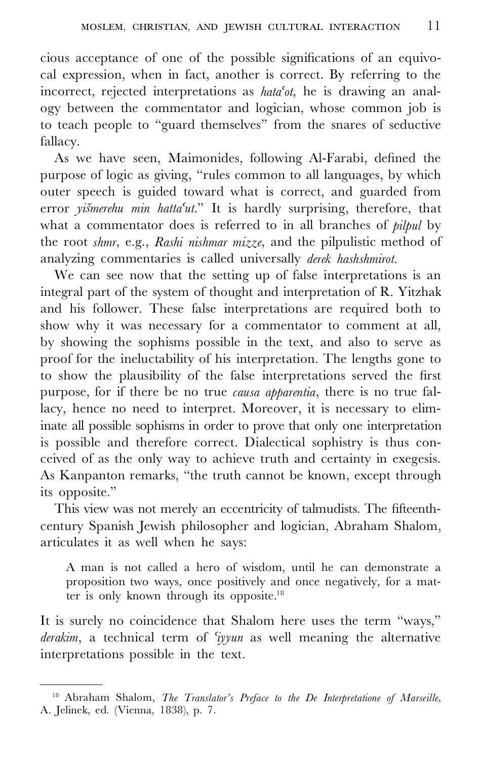cious acceptance of one of the possible significations of an equivocal expression, when in fact, another is correct. By referring to the incorrect, rejected interpretations as *hata'ot*, he is drawing an analogy between the commentator and logician, whose common job is to teach people to "guard themselves" from the snares of seductive fallacy.

As we have seen, Maimonides, following Al-Farabi, defined the purpose of logic as giving, "rules common to all languages, by which outer speech is guided toward what is correct, and guarded from error *yiÒmerehu min hatta'ut.*" It is hardly surprising, therefore, that what a commentator does is referred to in all branches of *pilpul* by the root *shmr*, e.g., *Rashi nishmar mizze*, and the pilpulistic method of analyzing commentaries is called universally *derek hashshmirot.*

We can see now that the setting up of false interpretations is an integral part of the system of thought and interpretation of R. Yitzhak and his follower. These false interpretations are required both to show why it was necessary for a commentator to comment at all, by showing the sophisms possible in the text, and also to serve as proof for the ineluctability of his interpretation. The lengths gone to to show the plausibility of the false interpretations served the first purpose, for if there be no true *causa apparentia*, there is no true fallacy, hence no need to interpret. Moreover, it is necessary to eliminate all possible sophisms in order to prove that only one interpretation is possible and therefore correct. Dialectical sophistry is thus conceived of as the only way to achieve truth and certainty in exegesis. As Kanpanton remarks, "the truth cannot be known, except through its opposite."

This view was not merely an eccentricity of talmudists. The fifteenthcentury Spanish Jewish philosopher and logician, Abraham Shalom, articulates it as well when he says:

A man is not called a hero of wisdom, until he can demonstrate a proposition two ways, once positively and once negatively, for a matter is only known through its opposite.<sup>18</sup>

It is surely no coincidence that Shalom here uses the term "ways," *derakim*, a technical term of *'iyyun* as well meaning the alternative interpretations possible in the text.

<sup>18</sup> Abraham Shalom, *The Translator's Preface to the De Interpretatione of Marseille*, A. Jelinek, ed. (Vienna, 1838), p. 7.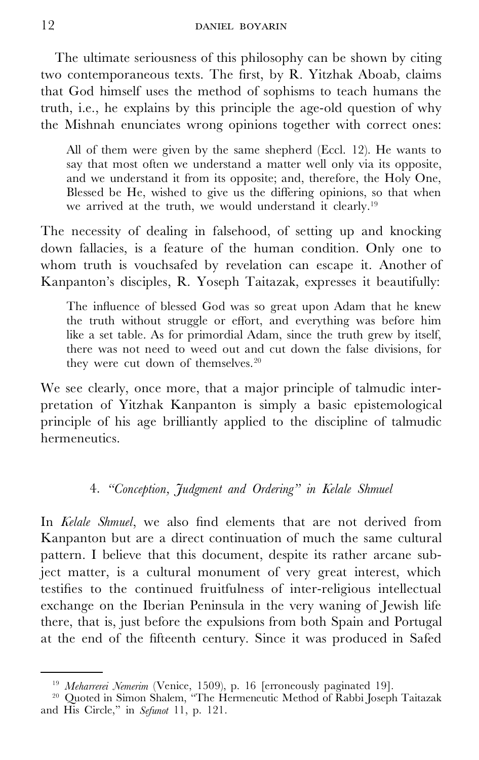The ultimate seriousness of this philosophy can be shown by citing two contemporaneous texts. The first, by R. Yitzhak Aboab, claims that God himself uses the method of sophisms to teach humans the truth, i.e., he explains by this principle the age-old question of why the Mishnah enunciates wrong opinions together with correct ones:

All of them were given by the same shepherd (Eccl. 12). He wants to say that most often we understand a matter well only via its opposite, and we understand it from its opposite; and, therefore, the Holy One, Blessed be He, wished to give us the differing opinions, so that when we arrived at the truth, we would understand it clearly.<sup>19</sup>

The necessity of dealing in falsehood, of setting up and knocking down fallacies, is a feature of the human condition. Only one to whom truth is vouchsafed by revelation can escape it. Another of Kanpanton's disciples, R. Yoseph Taitazak, expresses it beautifully:

The influence of blessed God was so great upon Adam that he knew the truth without struggle or effort, and everything was before him like a set table. As for primordial Adam, since the truth grew by itself, there was not need to weed out and cut down the false divisions, for they were cut down of themselves.<sup>20</sup>

We see clearly, once more, that a major principle of talmudic interpretation of Yitzhak Kanpanton is simply a basic epistemological principle of his age brilliantly applied to the discipline of talmudic hermeneutics.

# 4. *"Conception, Judgment and Ordering" in Kelale Shmuel*

In *Kelale Shmuel*, we also find elements that are not derived from Kanpanton but are a direct continuation of much the same cultural pattern. I believe that this document, despite its rather arcane subject matter, is a cultural monument of very great interest, which testifies to the continued fruitfulness of inter-religious intellectual exchange on the Iberian Peninsula in the very waning of Jewish life there, that is, just before the expulsions from both Spain and Portugal at the end of the fteenth century. Since it was produced in Safed

<sup>&</sup>lt;sup>19</sup> *Meharrerei Nemerim* (Venice, 1509), p. 16 [erroneously paginated 19].

<sup>20</sup> Quoted in Simon Shalem, "The Hermeneutic Method of Rabbi Joseph Taitazak and His Circle," in *Sefunot* 11, p. 121.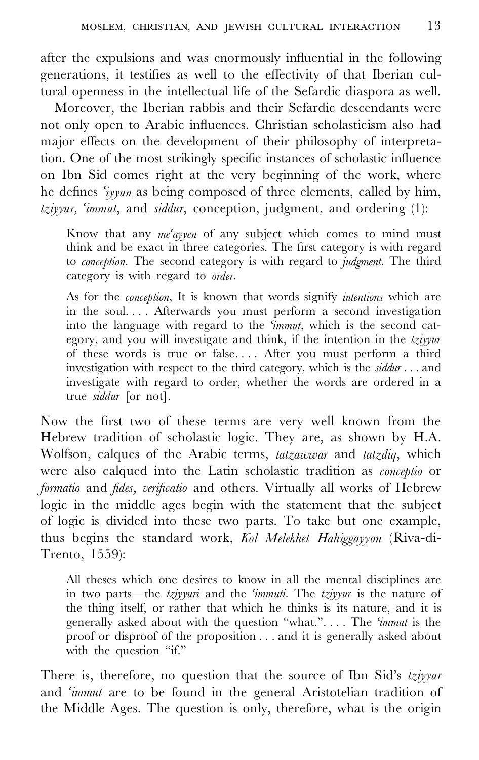after the expulsions and was enormously influential in the following generations, it testifies as well to the effectivity of that Iberian cultural openness in the intellectual life of the Sefardic diaspora as well.

Moreover, the Iberian rabbis and their Sefardic descendants were not only open to Arabic influences. Christian scholasticism also had major effects on the development of their philosophy of interpretation. One of the most strikingly specific instances of scholastic influence on Ibn Sid comes right at the very beginning of the work, where he defines *'iyyun* as being composed of three elements, called by him, *tziyyur, 'immut*, and *siddur*, conception, judgment, and ordering (1):

Know that any *me'ayyen* of any subject which comes to mind must think and be exact in three categories. The first category is with regard to *conception*. The second category is with regard to *judgment*. The third category is with regard to *order*.

As for the *conception*, It is known that words signify *intentions* which are in the soul. . . . Afterwards you must perform a second investigation into the language with regard to the *'immut*, which is the second category, and you will investigate and think, if the intention in the *tziyyur* of these words is true or false. . . . After you must perform a third investigation with respect to the third category, which is the *siddur* . . . and investigate with regard to order, whether the words are ordered in a true *siddur* [or not].

Now the first two of these terms are very well known from the Hebrew tradition of scholastic logic. They are, as shown by H.A. Wolfson, calques of the Arabic terms, *tatzawwar* and *tatzdiq*, which were also calqued into the Latin scholastic tradition as *conceptio* or *formatio* and *des, vericatio* and others. Virtually all works of Hebrew logic in the middle ages begin with the statement that the subject of logic is divided into these two parts. To take but one example, thus begins the standard work, *Kol Melekhet Hahiggayyon* (Riva-di-Trento, 1559):

All theses which one desires to know in all the mental disciplines are in two parts—the *tziyyuri* and the *'immuti.* The *tziyyur* is the nature of the thing itself, or rather that which he thinks is its nature, and it is generally asked about with the question "what.". . . . The *'immut* is the proof or disproof of the proposition . . . and it is generally asked about with the question "if."

There is, therefore, no question that the source of Ibn Sid's *tziyyur* and *'immut* are to be found in the general Aristotelian tradition of the Middle Ages. The question is only, therefore, what is the origin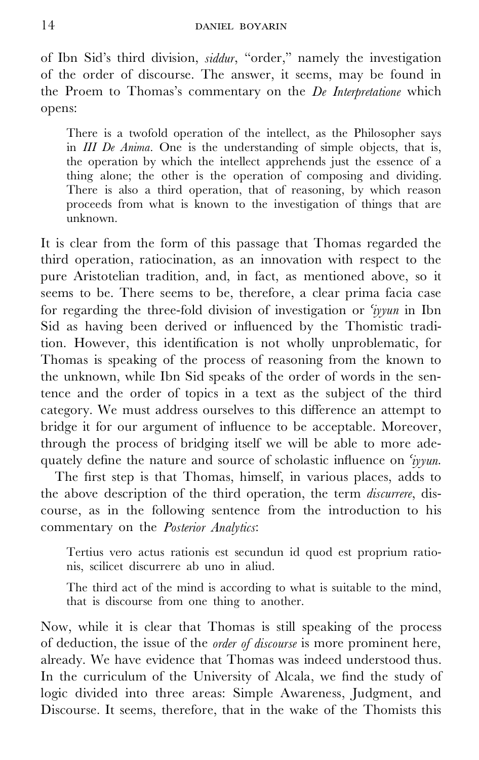of Ibn Sid's third division, *siddur*, "order," namely the investigation of the order of discourse. The answer, it seems, may be found in the Proem to Thomas's commentary on the *De Interpretatione* which opens:

There is a twofold operation of the intellect, as the Philosopher says in *III De Anima*. One is the understanding of simple objects, that is, the operation by which the intellect apprehends just the essence of a thing alone; the other is the operation of composing and dividing. There is also a third operation, that of reasoning, by which reason proceeds from what is known to the investigation of things that are unknown.

It is clear from the form of this passage that Thomas regarded the third operation, ratiocination, as an innovation with respect to the pure Aristotelian tradition, and, in fact, as mentioned above, so it seems to be. There seems to be, therefore, a clear prima facia case for regarding the three-fold division of investigation or *'iyyun* in Ibn Sid as having been derived or influenced by the Thomistic tradition. However, this identification is not wholly unproblematic, for Thomas is speaking of the process of reasoning from the known to the unknown, while Ibn Sid speaks of the order of words in the sentence and the order of topics in a text as the subject of the third category. We must address ourselves to this difference an attempt to bridge it for our argument of influence to be acceptable. Moreover, through the process of bridging itself we will be able to more adequately define the nature and source of scholastic influence on *'iyyun*.

The first step is that Thomas, himself, in various places, adds to the above description of the third operation, the term *discurrere*, discourse, as in the following sentence from the introduction to his commentary on the *Posterior Analytics*:

Tertius vero actus rationis est secundun id quod est proprium rationis, scilicet discurrere ab uno in aliud.

The third act of the mind is according to what is suitable to the mind, that is discourse from one thing to another.

Now, while it is clear that Thomas is still speaking of the process of deduction, the issue of the *order of discourse* is more prominent here, already. We have evidence that Thomas was indeed understood thus. In the curriculum of the University of Alcala, we find the study of logic divided into three areas: Simple Awareness, Judgment, and Discourse. It seems, therefore, that in the wake of the Thomists this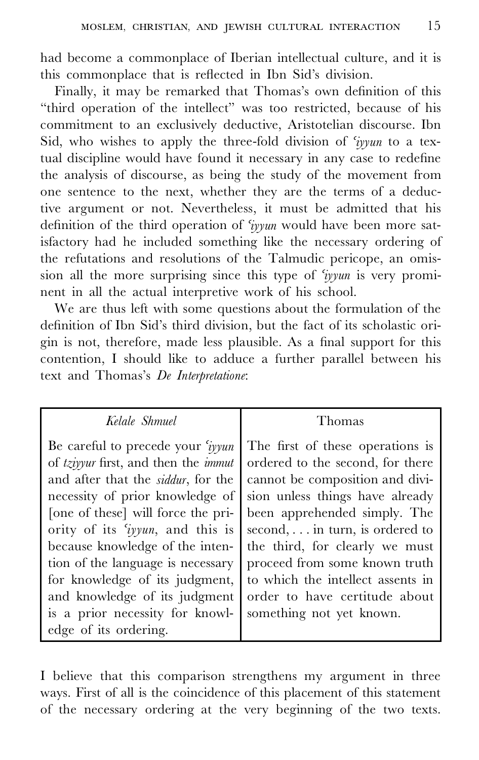had become a commonplace of Iberian intellectual culture, and it is this commonplace that is reflected in Ibn Sid's division.

Finally, it may be remarked that Thomas's own definition of this "third operation of the intellect" was too restricted, because of his commitment to an exclusively deductive, Aristotelian discourse. Ibn Sid, who wishes to apply the three-fold division of *'iyyun* to a textual discipline would have found it necessary in any case to redefine the analysis of discourse, as being the study of the movement from one sentence to the next, whether they are the terms of a deductive argument or not. Nevertheless, it must be admitted that his definition of the third operation of *'iyyun* would have been more satisfactory had he included something like the necessary ordering of the refutations and resolutions of the Talmudic pericope, an omission all the more surprising since this type of *'iyyun* is very prominent in all the actual interpretive work of his school.

We are thus left with some questions about the formulation of the definition of Ibn Sid's third division, but the fact of its scholastic origin is not, therefore, made less plausible. As a final support for this contention, I should like to adduce a further parallel between his text and Thomas's *De Interpretatione*:

| The first of these operations is<br>Be careful to precede your <i>'iyyun</i><br>of <i>tziyyur</i> first, and then the <i>immut</i><br>ordered to the second, for there<br>and after that the <i>siddur</i> , for the<br>cannot be composition and divi-<br>sion unless things have already<br>necessity of prior knowledge of<br>been apprehended simply. The<br>[one of these] will force the pri-<br>ority of its ' <i>iyyun</i> , and this is<br>$second, \ldots$ in turn, is ordered to<br>because knowledge of the inten-<br>the third, for clearly we must<br>tion of the language is necessary<br>proceed from some known truth<br>for knowledge of its judgment,<br>to which the intellect assents in<br>and knowledge of its judgment<br>order to have certitude about<br>is a prior necessity for knowl-<br>something not yet known. | Kelale Shmuel         | Thomas |
|------------------------------------------------------------------------------------------------------------------------------------------------------------------------------------------------------------------------------------------------------------------------------------------------------------------------------------------------------------------------------------------------------------------------------------------------------------------------------------------------------------------------------------------------------------------------------------------------------------------------------------------------------------------------------------------------------------------------------------------------------------------------------------------------------------------------------------------------|-----------------------|--------|
|                                                                                                                                                                                                                                                                                                                                                                                                                                                                                                                                                                                                                                                                                                                                                                                                                                                |                       |        |
|                                                                                                                                                                                                                                                                                                                                                                                                                                                                                                                                                                                                                                                                                                                                                                                                                                                | edge of its ordering. |        |

I believe that this comparison strengthens my argument in three ways. First of all is the coincidence of this placement of this statement of the necessary ordering at the very beginning of the two texts.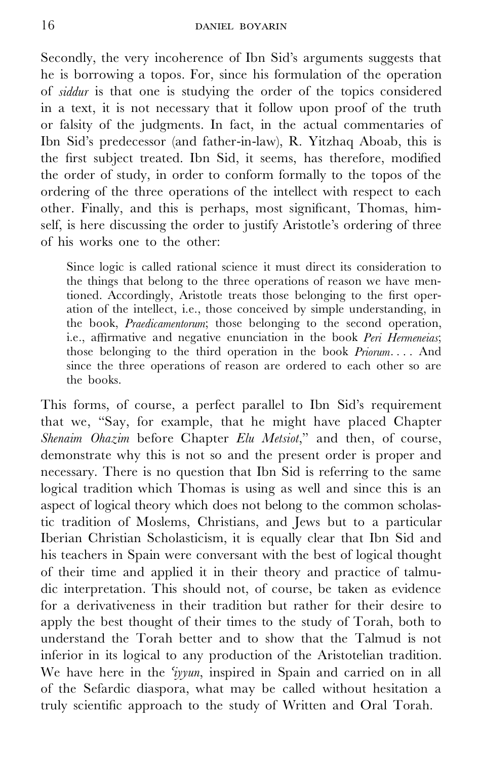Secondly, the very incoherence of Ibn Sid's arguments suggests that he is borrowing a topos. For, since his formulation of the operation of *siddur* is that one is studying the order of the topics considered in a text, it is not necessary that it follow upon proof of the truth or falsity of the judgments. In fact, in the actual commentaries of Ibn Sid's predecessor (and father-in-law), R. Yitzhaq Aboab, this is the first subject treated. Ibn Sid, it seems, has therefore, modified the order of study, in order to conform formally to the topos of the ordering of the three operations of the intellect with respect to each other. Finally, and this is perhaps, most significant, Thomas, himself, is here discussing the order to justify Aristotle's ordering of three of his works one to the other:

Since logic is called rational science it must direct its consideration to the things that belong to the three operations of reason we have mentioned. Accordingly, Aristotle treats those belonging to the first operation of the intellect, i.e., those conceived by simple understanding, in the book, *Praedicamentorum*; those belonging to the second operation, i.e., affirmative and negative enunciation in the book *Peri Hermeneias*; those belonging to the third operation in the book *Priorum*. . . . And since the three operations of reason are ordered to each other so are the books.

This forms, of course, a perfect parallel to Ibn Sid's requirement that we, "Say, for example, that he might have placed Chapter *Shenaim Ohazim* before Chapter *Elu Metsiot*," and then, of course, demonstrate why this is not so and the present order is proper and necessary. There is no question that Ibn Sid is referring to the same logical tradition which Thomas is using as well and since this is an aspect of logical theory which does not belong to the common scholastic tradition of Moslems, Christians, and Jews but to a particular Iberian Christian Scholasticism, it is equally clear that Ibn Sid and his teachers in Spain were conversant with the best of logical thought of their time and applied it in their theory and practice of talmudic interpretation. This should not, of course, be taken as evidence for a derivativeness in their tradition but rather for their desire to apply the best thought of their times to the study of Torah, both to understand the Torah better and to show that the Talmud is not inferior in its logical to any production of the Aristotelian tradition. We have here in the *'iyyun*, inspired in Spain and carried on in all of the Sefardic diaspora, what may be called without hesitation a truly scientific approach to the study of Written and Oral Torah.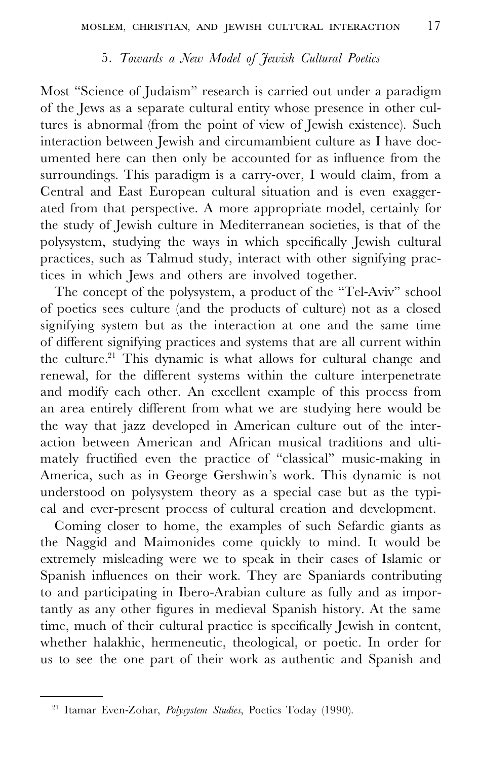# 5. *Towards a New Model of Jewish Cultural Poetics*

Most "Science of Judaism" research is carried out under a paradigm of the Jews as a separate cultural entity whose presence in other cultures is abnormal (from the point of view of Jewish existence). Such interaction between Jewish and circumambient culture as I have documented here can then only be accounted for as influence from the surroundings. This paradigm is a carry-over, I would claim, from a Central and East European cultural situation and is even exaggerated from that perspective. A more appropriate model, certainly for the study of Jewish culture in Mediterranean societies, is that of the polysystem, studying the ways in which specifically Jewish cultural practices, such as Talmud study, interact with other signifying practices in which Jews and others are involved together.

The concept of the polysystem, a product of the "Tel-Aviv" school of poetics sees culture (and the products of culture) not as a closed signifying system but as the interaction at one and the same time of different signifying practices and systems that are all current within the culture.<sup>21</sup> This dynamic is what allows for cultural change and renewal, for the different systems within the culture interpenetrate and modify each other. An excellent example of this process from an area entirely different from what we are studying here would be the way that jazz developed in American culture out of the interaction between American and African musical traditions and ultimately fructified even the practice of "classical" music-making in America, such as in George Gershwin's work. This dynamic is not understood on polysystem theory as a special case but as the typical and ever-present process of cultural creation and development.

Coming closer to home, the examples of such Sefardic giants as the Naggid and Maimonides come quickly to mind. It would be extremely misleading were we to speak in their cases of Islamic or Spanish influences on their work. They are Spaniards contributing to and participating in Ibero-Arabian culture as fully and as importantly as any other figures in medieval Spanish history. At the same time, much of their cultural practice is specifically Jewish in content, whether halakhic, hermeneutic, theological, or poetic. In order for us to see the one part of their work as authentic and Spanish and

<sup>21</sup> Itamar Even-Zohar, *Polysystem Studies*, Poetics Today (1990).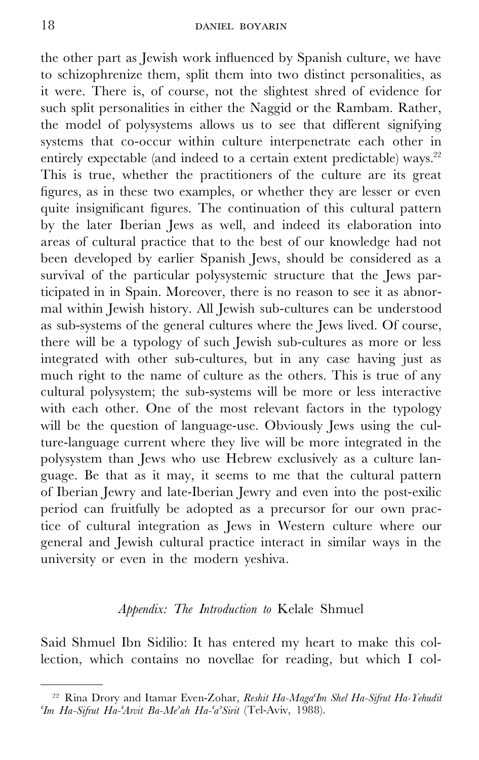the other part as Jewish work influenced by Spanish culture, we have to schizophrenize them, split them into two distinct personalities, as it were. There is, of course, not the slightest shred of evidence for such split personalities in either the Naggid or the Rambam. Rather, the model of polysystems allows us to see that different signifying systems that co-occur within culture interpenetrate each other in entirely expectable (and indeed to a certain extent predictable) ways.<sup>22</sup> This is true, whether the practitioners of the culture are its great figures, as in these two examples, or whether they are lesser or even quite insignificant figures. The continuation of this cultural pattern by the later Iberian Jews as well, and indeed its elaboration into areas of cultural practice that to the best of our knowledge had not been developed by earlier Spanish Jews, should be considered as a survival of the particular polysystemic structure that the Jews participated in in Spain. Moreover, there is no reason to see it as abnormal within Jewish history. All Jewish sub-cultures can be understood as sub-systems of the general cultures where the Jews lived. Of course, there will be a typology of such Jewish sub-cultures as more or less integrated with other sub-cultures, but in any case having just as much right to the name of culture as the others. This is true of any cultural polysystem; the sub-systems will be more or less interactive with each other. One of the most relevant factors in the typology will be the question of language-use. Obviously Jews using the culture-language current where they live will be more integrated in the polysystem than Jews who use Hebrew exclusively as a culture language. Be that as it may, it seems to me that the cultural pattern of Iberian Jewry and late-Iberian Jewry and even into the post-exilic period can fruitfully be adopted as a precursor for our own practice of cultural integration as Jews in Western culture where our general and Jewish cultural practice interact in similar ways in the university or even in the modern yeshiva.

#### *Appendix: The Introduction to* Kelale Shmuel

Said Shmuel Ibn Sidilio: It has entered my heart to make this collection, which contains no novellae for reading, but which I col-

<sup>22</sup> Rina Drory and Itamar Even-Zohar, *Reshit Ha-Maga'Im Shel Ha-Sifrut Ha-Yehudit 'Im Ha-Sifrut Ha-'Arvit Ba-Me"ah Ha-'a"Sirit* (Tel-Aviv, 1988).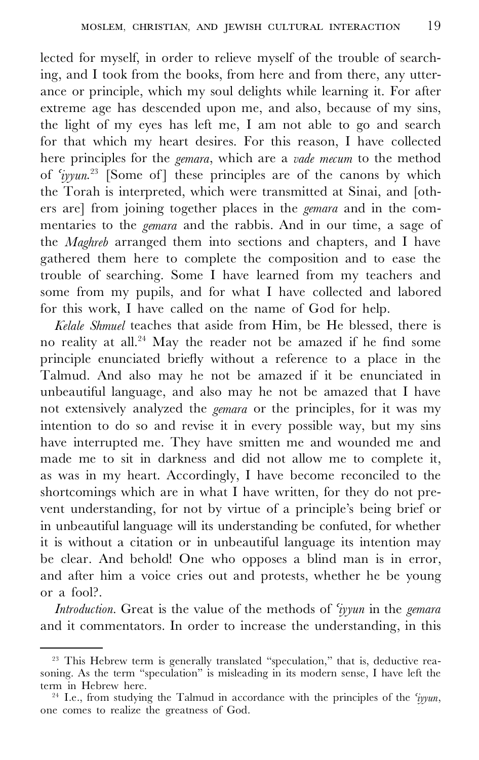lected for myself, in order to relieve myself of the trouble of searching, and I took from the books, from here and from there, any utterance or principle, which my soul delights while learning it. For after extreme age has descended upon me, and also, because of my sins, the light of my eyes has left me, I am not able to go and search for that which my heart desires. For this reason, I have collected here principles for the *gemara*, which are a *vade mecum* to the method of *'iyyun*.<sup>23</sup> [Some of] these principles are of the canons by which the Torah is interpreted, which were transmitted at Sinai, and [others are] from joining together places in the *gemara* and in the commentaries to the *gemara* and the rabbis. And in our time, a sage of the *Maghreb* arranged them into sections and chapters, and I have gathered them here to complete the composition and to ease the trouble of searching. Some I have learned from my teachers and some from my pupils, and for what I have collected and labored for this work, I have called on the name of God for help.

*Kelale Shmuel* teaches that aside from Him, be He blessed, there is no reality at all.<sup>24</sup> May the reader not be amazed if he find some principle enunciated briefly without a reference to a place in the Talmud. And also may he not be amazed if it be enunciated in unbeautiful language, and also may he not be amazed that I have not extensively analyzed the *gemara* or the principles, for it was my intention to do so and revise it in every possible way, but my sins have interrupted me. They have smitten me and wounded me and made me to sit in darkness and did not allow me to complete it, as was in my heart. Accordingly, I have become reconciled to the shortcomings which are in what I have written, for they do not prevent understanding, for not by virtue of a principle's being brief or in unbeautiful language will its understanding be confuted, for whether it is without a citation or in unbeautiful language its intention may be clear. And behold! One who opposes a blind man is in error, and after him a voice cries out and protests, whether he be young or a fool?.

*Introduction.* Great is the value of the methods of *'iyyun* in the *gemara* and it commentators. In order to increase the understanding, in this

<sup>&</sup>lt;sup>23</sup> This Hebrew term is generally translated "speculation," that is, deductive reasoning. As the term "speculation" is misleading in its modern sense, I have left the term in Hebrew here.

<sup>24</sup> I.e., from studying the Talmud in accordance with the principles of the *'iyyun*, one comes to realize the greatness of God.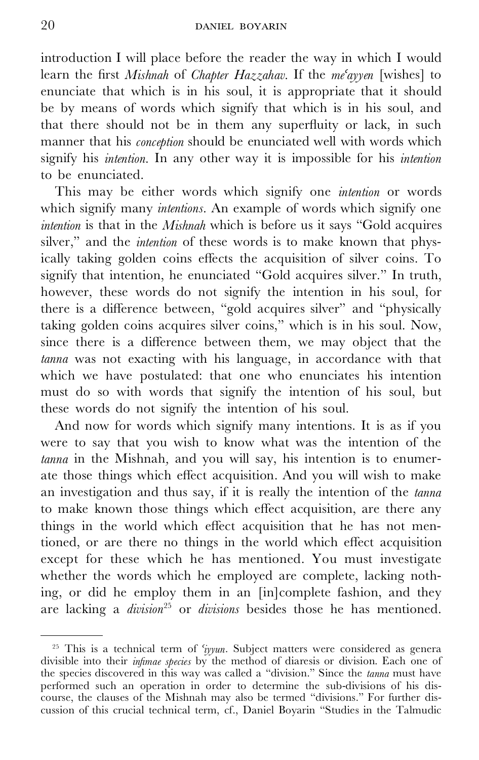introduction I will place before the reader the way in which I would learn the first *Mishnah* of *Chapter Hazzahav*. If the *me*<sup>*cayyen* [wishes] to</sup> enunciate that which is in his soul, it is appropriate that it should be by means of words which signify that which is in his soul, and that there should not be in them any superfluity or lack, in such manner that his *conception* should be enunciated well with words which signify his *intention.* In any other way it is impossible for his *intention* to be enunciated.

This may be either words which signify one *intention* or words which signify many *intentions*. An example of words which signify one *intention* is that in the *Mishnah* which is before us it says "Gold acquires silver," and the *intention* of these words is to make known that physically taking golden coins effects the acquisition of silver coins. To signify that intention, he enunciated "Gold acquires silver." In truth, however, these words do not signify the intention in his soul, for there is a difference between, "gold acquires silver" and "physically taking golden coins acquires silver coins," which is in his soul. Now, since there is a difference between them, we may object that the *tanna* was not exacting with his language, in accordance with that which we have postulated: that one who enunciates his intention must do so with words that signify the intention of his soul, but these words do not signify the intention of his soul.

And now for words which signify many intentions. It is as if you were to say that you wish to know what was the intention of the *tanna* in the Mishnah*,* and you will say, his intention is to enumerate those things which effect acquisition. And you will wish to make an investigation and thus say, if it is really the intention of the *tanna* to make known those things which effect acquisition, are there any things in the world which effect acquisition that he has not mentioned, or are there no things in the world which effect acquisition except for these which he has mentioned. You must investigate whether the words which he employed are complete, lacking nothing, or did he employ them in an [in]complete fashion, and they are lacking a *division*<sup>25</sup> or *divisions* besides those he has mentioned.

<sup>25</sup> This is a technical term of *'iyyun*. Subject matters were considered as genera divisible into their *inmae species* by the method of diaresis or division. Each one of the species discovered in this way was called a "division." Since the *tanna* must have performed such an operation in order to determine the sub-divisions of his discourse, the clauses of the Mishnah may also be termed "divisions." For further discussion of this crucial technical term, cf., Daniel Boyarin "Studies in the Talmudic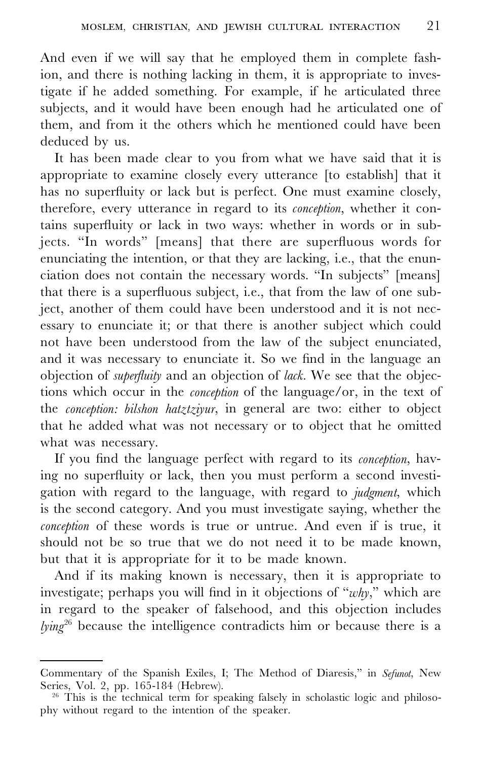And even if we will say that he employed them in complete fashion, and there is nothing lacking in them, it is appropriate to investigate if he added something. For example, if he articulated three subjects, and it would have been enough had he articulated one of them, and from it the others which he mentioned could have been deduced by us.

It has been made clear to you from what we have said that it is appropriate to examine closely every utterance [to establish] that it has no superfluity or lack but is perfect. One must examine closely, therefore, every utterance in regard to its *conception*, whether it contains superfluity or lack in two ways: whether in words or in subjects. "In words" [means] that there are superfluous words for enunciating the intention, or that they are lacking, i.e., that the enunciation does not contain the necessary words. "In subjects" [means] that there is a superfluous subject, i.e., that from the law of one subject, another of them could have been understood and it is not necessary to enunciate it; or that there is another subject which could not have been understood from the law of the subject enunciated, and it was necessary to enunciate it. So we find in the language an objection of *superfluity* and an objection of *lack*. We see that the objections which occur in the *conception* of the language/or, in the text of the *conception: bilshon hatztziyur*, in general are two: either to object that he added what was not necessary or to object that he omitted what was necessary.

If you find the language perfect with regard to its *conception*, having no superfluity or lack, then you must perform a second investigation with regard to the language, with regard to *judgment*, which is the second category. And you must investigate saying, whether the *conception* of these words is true or untrue. And even if is true, it should not be so true that we do not need it to be made known, but that it is appropriate for it to be made known.

And if its making known is necessary, then it is appropriate to investigate; perhaps you will find in it objections of "why," which are in regard to the speaker of falsehood, and this objection includes *lying*<sup>26</sup> because the intelligence contradicts him or because there is a

Commentary of the Spanish Exiles, I; The Method of Diaresis," in *Sefunot*, New Series, Vol. 2, pp. 165-184 (Hebrew).

<sup>&</sup>lt;sup>26</sup> This is the technical term for speaking falsely in scholastic logic and philosophy without regard to the intention of the speaker.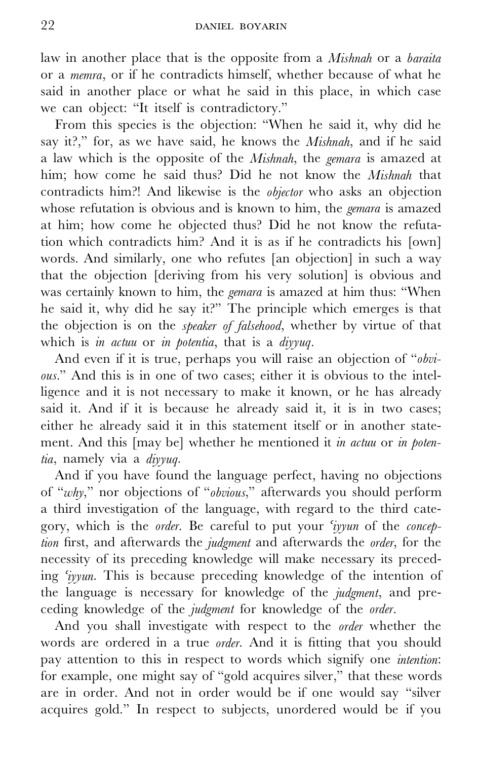law in another place that is the opposite from a *Mishnah* or a *baraita* or a *memra*, or if he contradicts himself, whether because of what he said in another place or what he said in this place, in which case we can object: "It itself is contradictory."

From this species is the objection: "When he said it, why did he say it?," for, as we have said, he knows the *Mishnah*, and if he said a law which is the opposite of the *Mishnah*, the *gemara* is amazed at him; how come he said thus? Did he not know the *Mishnah* that contradicts him?! And likewise is the *objector* who asks an objection whose refutation is obvious and is known to him, the *gemara* is amazed at him; how come he objected thus? Did he not know the refutation which contradicts him? And it is as if he contradicts his [own] words. And similarly, one who refutes [an objection] in such a way that the objection [deriving from his very solution] is obvious and was certainly known to him, the *gemara* is amazed at him thus: "When he said it, why did he say it?" The principle which emerges is that the objection is on the *speaker of falsehood*, whether by virtue of that which is *in actuu* or *in potentia*, that is a *diyyuq.*

And even if it is true, perhaps you will raise an objection of "*obvious.*" And this is in one of two cases; either it is obvious to the intelligence and it is not necessary to make it known, or he has already said it. And if it is because he already said it, it is in two cases; either he already said it in this statement itself or in another statement. And this [may be] whether he mentioned it *in actuu* or *in potentia*, namely via a *diyyuq*.

And if you have found the language perfect, having no objections of "*why*," nor objections of "*obvious*," afterwards you should perform a third investigation of the language, with regard to the third category, which is the *order*. Be careful to put your *'iyyun* of the *conception* first, and afterwards the *judgment* and afterwards the *order*, for the necessity of its preceding knowledge will make necessary its preceding *'iyyun*. This is because preceding knowledge of the intention of the language is necessary for knowledge of the *judgment*, and preceding knowledge of the *judgment* for knowledge of the *order*.

And you shall investigate with respect to the *order* whether the words are ordered in a true *order*. And it is fitting that you should pay attention to this in respect to words which signify one *intention*: for example, one might say of "gold acquires silver," that these words are in order. And not in order would be if one would say "silver acquires gold." In respect to subjects, unordered would be if you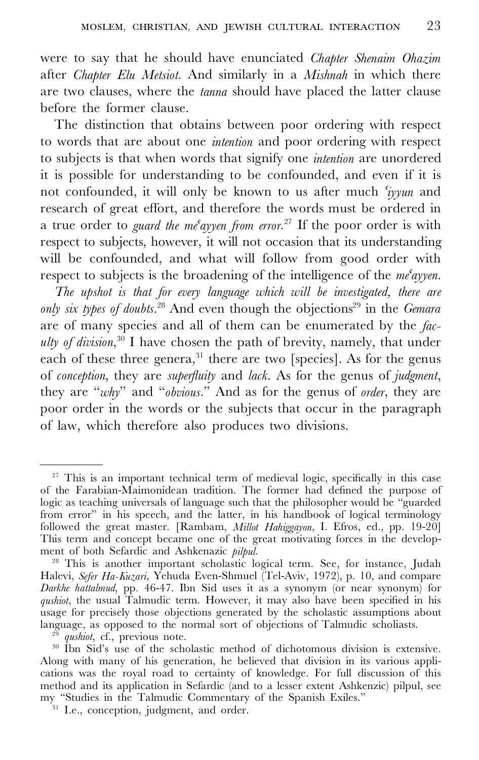were to say that he should have enunciated *Chapter Shenaim Ohazim* after *Chapter Elu Metsiot*. And similarly in a *Mishnah* in which there are two clauses, where the *tanna* should have placed the latter clause before the former clause.

The distinction that obtains between poor ordering with respect to words that are about one *intention* and poor ordering with respect to subjects is that when words that signify one *intention* are unordered it is possible for understanding to be confounded, and even if it is not confounded, it will only be known to us after much *'iyyun* and research of great effort, and therefore the words must be ordered in a true order to *guard the me'ayyen from error*.<sup>27</sup> If the poor order is with respect to subjects, however, it will not occasion that its understanding will be confounded, and what will follow from good order with respect to subjects is the broadening of the intelligence of the *me'ayyen.*

*The upshot is that for every language which will be investigated, there are only six types of doubts.*<sup>28</sup> And even though the objections<sup>29</sup> in the *Gemara* are of many species and all of them can be enumerated by the *faculty of division*,<sup>30</sup> I have chosen the path of brevity, namely, that under each of these three genera, $31$  there are two [species]. As for the genus of *conception*, they are *superfluity* and *lack*. As for the genus of *judgment*, they are "*why*" and "*obvious*." And as for the genus of *order*, they are poor order in the words or the subjects that occur in the paragraph of law, which therefore also produces two divisions.

 $27$  This is an important technical term of medieval logic, specifically in this case of the Farabian-Maimonidean tradition. The former had defined the purpose of logic as teaching universals of language such that the philosopher would be "guarded from error" in his speech, and the latter, in his handbook of logical terminology followed the great master. [Rambam, *Millot Hahiggayon*, I. Efros, ed., pp. 19-20] This term and concept became one of the great motivating forces in the development of both Sefardic and Ashkenazic *pilpul*.

<sup>&</sup>lt;sup>28</sup> This is another important scholastic logical term. See, for instance, Judah Halevi, *Sefer Ha-Kuzari*, Yehuda Even-Shmuel (Tel-Aviv, 1972), p. 10, and compare *Darkhe hattalmud*, pp. 46-47. Ibn Sid uses it as a synonym (or near synonym) for *qushiot*, the usual Talmudic term. However, it may also have been specified in his usage for precisely those objections generated by the scholastic assumptions about language, as opposed to the normal sort of objections of Talmudic scholiasts.

<sup>29</sup> *qushiot*, cf., previous note.

<sup>&</sup>lt;sup>30</sup> Ibn Sid's use of the scholastic method of dichotomous division is extensive. Along with many of his generation, he believed that division in its various applications was the royal road to certainty of knowledge. For full discussion of this method and its application in Sefardic (and to a lesser extent Ashkenzic) pilpul, see my "Studies in the Talmudic Commentary of the Spanish Exiles."

 $31$  I.e., conception, judgment, and order.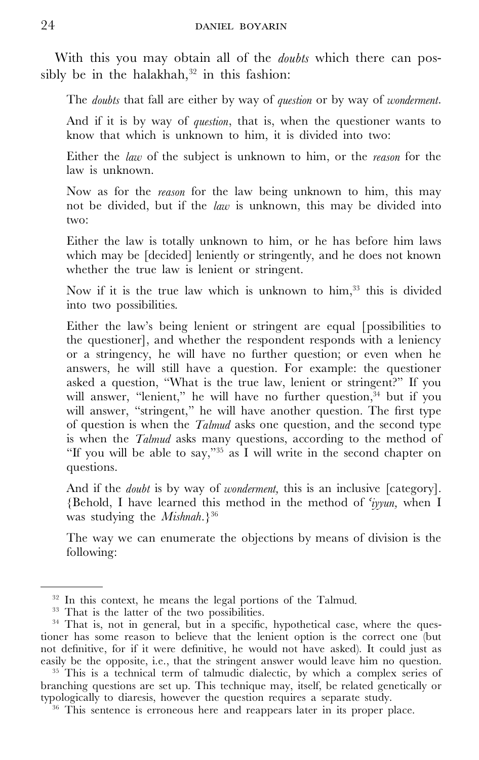With this you may obtain all of the *doubts* which there can possibly be in the halakhah, $32$  in this fashion:

The *doubts* that fall are either by way of *question* or by way of *wonderment*.

And if it is by way of *question*, that is, when the questioner wants to know that which is unknown to him, it is divided into two:

Either the *law* of the subject is unknown to him, or the *reason* for the law is unknown.

Now as for the *reason* for the law being unknown to him, this may not be divided, but if the *law* is unknown, this may be divided into two:

Either the law is totally unknown to him, or he has before him laws which may be [decided] leniently or stringently, and he does not known whether the true law is lenient or stringent.

Now if it is the true law which is unknown to him,<sup>33</sup> this is divided into two possibilities.

Either the law's being lenient or stringent are equal [possibilities to the questioner], and whether the respondent responds with a leniency or a stringency, he will have no further question; or even when he answers, he will still have a question. For example: the questioner asked a question, "What is the true law, lenient or stringent?" If you will answer, "lenient," he will have no further question,  $34$  but if you will answer, "stringent," he will have another question. The first type of question is when the *Talmud* asks one question, and the second type is when the *Talmud* asks many questions, according to the method of "If you will be able to say,"<sup>35</sup> as I will write in the second chapter on questions.

And if the *doubt* is by way of *wonderment,* this is an inclusive [category]. {Behold, I have learned this method in the method of *'iyyun,* when I was studying the *Mishnah*.}<sup>36</sup>

The way we can enumerate the objections by means of division is the following:

<sup>32</sup> In this context, he means the legal portions of the Talmud*.*

<sup>&</sup>lt;sup>33</sup> That is the latter of the two possibilities.

 $34$  That is, not in general, but in a specific, hypothetical case, where the questioner has some reason to believe that the lenient option is the correct one (but not definitive, for if it were definitive, he would not have asked). It could just as easily be the opposite, i.e., that the stringent answer would leave him no question.

<sup>&</sup>lt;sup>35</sup> This is a technical term of talmudic dialectic, by which a complex series of branching questions are set up. This technique may, itself, be related genetically or typologically to diaresis, however the question requires a separate study.

<sup>&</sup>lt;sup>36</sup> This sentence is erroneous here and reappears later in its proper place.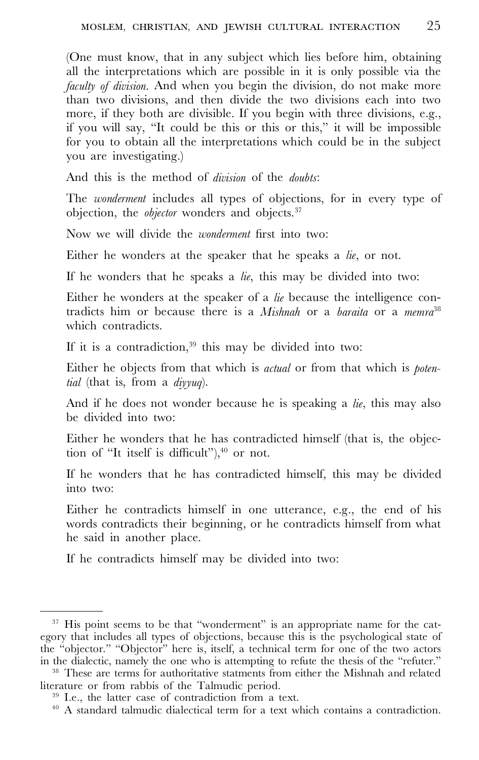(One must know, that in any subject which lies before him, obtaining all the interpretations which are possible in it is only possible via the *faculty of division.* And when you begin the division, do not make more than two divisions, and then divide the two divisions each into two more, if they both are divisible. If you begin with three divisions, e.g., if you will say, "It could be this or this or this," it will be impossible for you to obtain all the interpretations which could be in the subject you are investigating.)

And this is the method of *division* of the *doubts*:

The *wonderment* includes all types of objections, for in every type of objection, the *objector* wonders and objects.<sup>37</sup>

Now we will divide the *wonderment* first into two:

Either he wonders at the speaker that he speaks a *lie*, or not.

If he wonders that he speaks a *lie*, this may be divided into two:

Either he wonders at the speaker of a *lie* because the intelligence contradicts him or because there is a *Mishnah* or a *baraita* or a *memra*<sup>38</sup> which contradicts.

If it is a contradiction, $39$  this may be divided into two:

Either he objects from that which is *actual* or from that which is *potential* (that is, from a *diyyuq*).

And if he does not wonder because he is speaking a *lie*, this may also be divided into two:

Either he wonders that he has contradicted himself (that is, the objection of "It itself is difficult"), $40$  or not.

If he wonders that he has contradicted himself, this may be divided into two:

Either he contradicts himself in one utterance, e.g., the end of his words contradicts their beginning, or he contradicts himself from what he said in another place.

If he contradicts himself may be divided into two:

<sup>&</sup>lt;sup>37</sup> His point seems to be that "wonderment" is an appropriate name for the category that includes all types of objections, because this is the psychological state of the "objector." "Objector" here is, itself, a technical term for one of the two actors in the dialectic, namely the one who is attempting to refute the thesis of the "refuter."

<sup>38</sup> These are terms for authoritative statments from either the Mishnah and related literature or from rabbis of the Talmudic period.

<sup>39</sup> I.e., the latter case of contradiction from a text.

<sup>40</sup> A standard talmudic dialectical term for a text which contains a contradiction.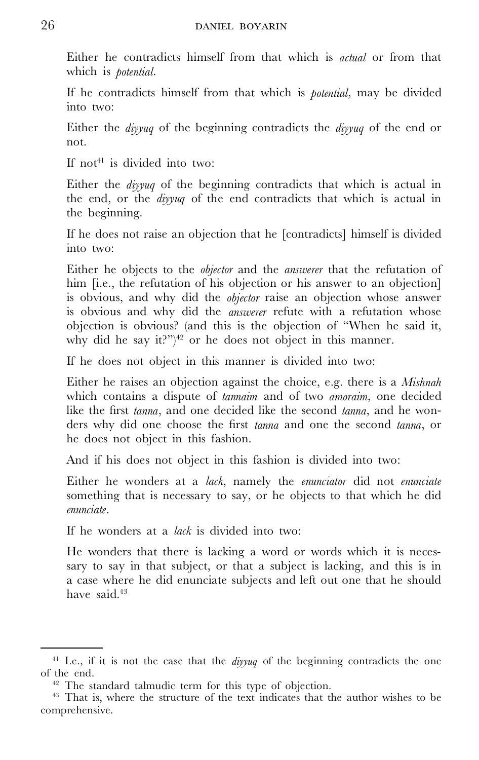Either he contradicts himself from that which is *actual* or from that which is *potential*.

If he contradicts himself from that which is *potential*, may be divided into two:

Either the *diyyuq* of the beginning contradicts the *diyyuq* of the end or not.

If not<sup> $41$ </sup> is divided into two:

Either the *diyyuq* of the beginning contradicts that which is actual in the end, or the *diyyuq* of the end contradicts that which is actual in the beginning.

If he does not raise an objection that he [contradicts] himself is divided into two:

Either he objects to the *objector* and the *answerer* that the refutation of him <u>[i.e.</u>, the refutation of his objection or his answer to an objection] is obvious, and why did the *objector* raise an objection whose answer is obvious and why did the *answerer* refute with a refutation whose objection is obvious? (and this is the objection of "When he said it, why did he say it?") $^{42}$  or he does not object in this manner.

If he does not object in this manner is divided into two:

Either he raises an objection against the choice, e.g. there is a *Mishnah* which contains a dispute of *tannaim* and of two *amoraim*, one decided like the first *tanna*, and one decided like the second *tanna*, and he wonders why did one choose the first *tanna* and one the second *tanna*, or he does not object in this fashion.

And if his does not object in this fashion is divided into two:

Either he wonders at a *lack*, namely the *enunciator* did not *enunciate* something that is necessary to say, or he objects to that which he did *enunciate*.

If he wonders at a *lack* is divided into two:

He wonders that there is lacking a word or words which it is necessary to say in that subject, or that a subject is lacking, and this is in a case where he did enunciate subjects and left out one that he should have said.<sup>43</sup>

<sup>41</sup> I.e., if it is not the case that the *diyyuq* of the beginning contradicts the one of the end.

<sup>42</sup> The standard talmudic term for this type of objection.

<sup>&</sup>lt;sup>43</sup> That is, where the structure of the text indicates that the author wishes to be comprehensive.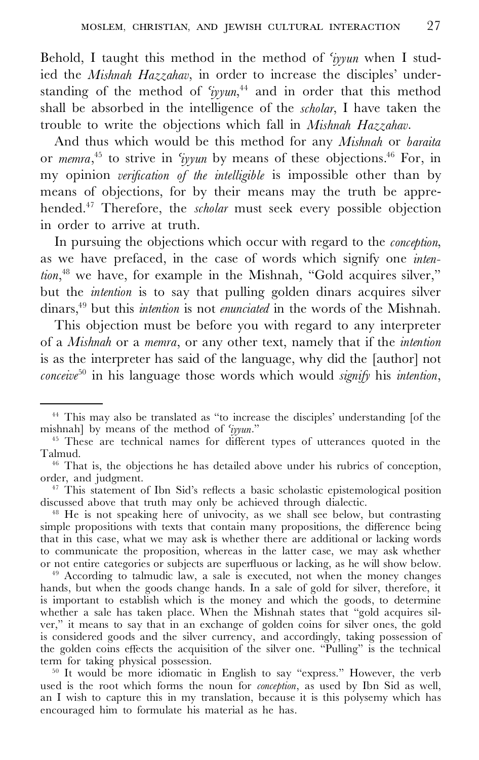Behold, I taught this method in the method of *'iyyun* when I studied the *Mishnah Hazzahav*, in order to increase the disciples' understanding of the method of '*iyyun*,<sup>44</sup> and in order that this method shall be absorbed in the intelligence of the *scholar*, I have taken the trouble to write the objections which fall in *Mishnah Hazzahav*.

And thus which would be this method for any *Mishnah* or *baraita* or *memra*<sup>45</sup> to strive in *'iyyun* by means of these objections.<sup>46</sup> For, in my opinion *verification of the intelligible* is impossible other than by means of objections, for by their means may the truth be apprehended.<sup>47</sup> Therefore, the *scholar* must seek every possible objection in order to arrive at truth.

In pursuing the objections which occur with regard to the *conception*, as we have prefaced, in the case of words which signify one *intention*,<sup>48</sup> we have, for example in the Mishnah, "Gold acquires silver," but the *intention* is to say that pulling golden dinars acquires silver dinars,<sup>49</sup> but this *intention* is not *enunciated* in the words of the Mishnah.

This objection must be before you with regard to any interpreter of a *Mishnah* or a *memra*, or any other text, namely that if the *intention* is as the interpreter has said of the language, why did the [author] not *conceive*<sup>50</sup> in his language those words which would *signify* his *intention*,

<sup>44</sup> This may also be translated as "to increase the disciples' understanding [of the mishnah] by means of the method of *'iyyun*."

<sup>&</sup>lt;sup>45</sup> These are technical names for different types of utterances quoted in the Talmud.

<sup>46</sup> That is, the objections he has detailed above under his rubrics of conception, order, and judgment.

 $47$  This statement of Ibn Sid's reflects a basic scholastic epistemological position discussed above that truth may only be achieved through dialectic.

<sup>48</sup> He is not speaking here of univocity, as we shall see below, but contrasting simple propositions with texts that contain many propositions, the difference being that in this case, what we may ask is whether there are additional or lacking words to communicate the proposition, whereas in the latter case, we may ask whether or not entire categories or subjects are superfluous or lacking, as he will show below.

<sup>49</sup> According to talmudic law, a sale is executed, not when the money changes hands, but when the goods change hands. In a sale of gold for silver, therefore, it is important to establish which is the money and which the goods, to determine whether a sale has taken place. When the Mishnah states that "gold acquires silver," it means to say that in an exchange of golden coins for silver ones, the gold is considered goods and the silver currency, and accordingly, taking possession of the golden coins effects the acquisition of the silver one. "Pulling" is the technical term for taking physical possession.

<sup>&</sup>lt;sup>50</sup> It would be more idiomatic in English to say "express." However, the verb used is the root which forms the noun for *conception*, as used by Ibn Sid as well, an I wish to capture this in my translation, because it is this polysemy which has encouraged him to formulate his material as he has.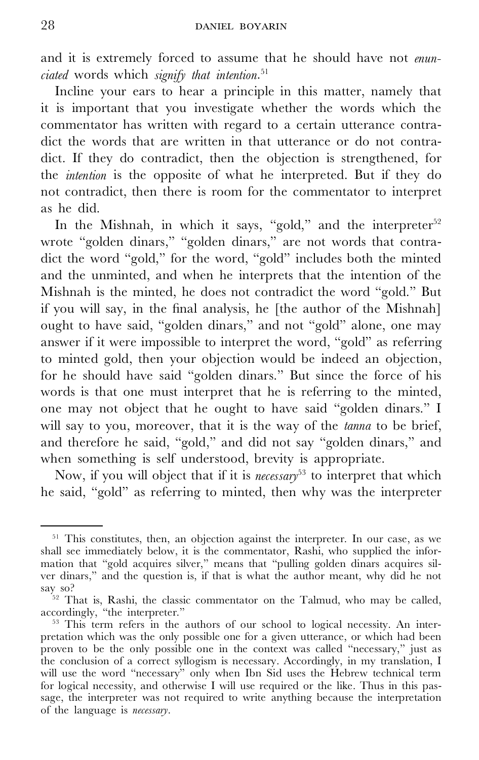and it is extremely forced to assume that he should have not *enunciated* words which *signify that intention*.<sup>51</sup>

Incline your ears to hear a principle in this matter, namely that it is important that you investigate whether the words which the commentator has written with regard to a certain utterance contradict the words that are written in that utterance or do not contradict. If they do contradict, then the objection is strengthened, for the *intention* is the opposite of what he interpreted. But if they do not contradict, then there is room for the commentator to interpret as he did.

In the Mishnah, in which it says, "gold," and the interpreter<sup>52</sup> wrote "golden dinars," "golden dinars," are not words that contradict the word "gold," for the word, "gold" includes both the minted and the unminted, and when he interprets that the intention of the Mishnah is the minted, he does not contradict the word "gold." But if you will say, in the final analysis, he [the author of the Mishnah] ought to have said, "golden dinars," and not "gold" alone, one may answer if it were impossible to interpret the word, "gold" as referring to minted gold, then your objection would be indeed an objection, for he should have said "golden dinars." But since the force of his words is that one must interpret that he is referring to the minted, one may not object that he ought to have said "golden dinars." I will say to you, moreover, that it is the way of the *tanna* to be brief, and therefore he said, "gold," and did not say "golden dinars," and when something is self understood, brevity is appropriate.

Now, if you will object that if it is *necessary*<sup>53</sup> to interpret that which he said, "gold" as referring to minted, then why was the interpreter

<sup>&</sup>lt;sup>51</sup> This constitutes, then, an objection against the interpreter. In our case, as we shall see immediately below, it is the commentator, Rashi, who supplied the information that "gold acquires silver," means that "pulling golden dinars acquires sil ver dinars," and the question is, if that is what the author meant, why did he not say so?

<sup>&</sup>lt;sup>52</sup> That is, Rashi, the classic commentator on the Talmud, who may be called, accordingly, "the interpreter."

<sup>&</sup>lt;sup>53</sup> This term refers in the authors of our school to logical necessity. An interpretation which was the only possible one for a given utterance, or which had been proven to be the only possible one in the context was called "necessary," just as the conclusion of a correct syllogism is necessary. Accordingly, in my translation, I will use the word "necessary" only when Ibn Sid uses the Hebrew technical term for logical necessity, and otherwise I will use required or the like. Thus in this passage, the interpreter was not required to write anything because the interpretation of the language is *necessary*.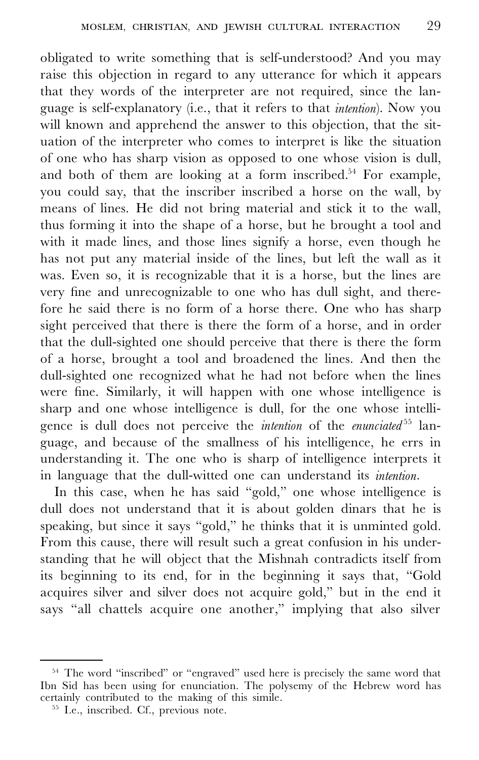obligated to write something that is self-understood? And you may raise this objection in regard to any utterance for which it appears that they words of the interpreter are not required, since the language is self-explanatory (i.e., that it refers to that *intention*). Now you will known and apprehend the answer to this objection, that the situation of the interpreter who comes to interpret is like the situation of one who has sharp vision as opposed to one whose vision is dull, and both of them are looking at a form inscribed.<sup>54</sup> For example, you could say, that the inscriber inscribed a horse on the wall, by means of lines. He did not bring material and stick it to the wall, thus forming it into the shape of a horse, but he brought a tool and with it made lines, and those lines signify a horse, even though he has not put any material inside of the lines, but left the wall as it was. Even so, it is recognizable that it is a horse, but the lines are very fine and unrecognizable to one who has dull sight, and therefore he said there is no form of a horse there. One who has sharp sight perceived that there is there the form of a horse, and in order that the dull-sighted one should perceive that there is there the form of a horse, brought a tool and broadened the lines. And then the dull-sighted one recognized what he had not before when the lines were fine. Similarly, it will happen with one whose intelligence is sharp and one whose intelligence is dull, for the one whose intelligence is dull does not perceive the *intention* of the *enunciated*<sup>55</sup> language, and because of the smallness of his intelligence, he errs in understanding it. The one who is sharp of intelligence interprets it in language that the dull-witted one can understand its *intention*.

In this case, when he has said "gold," one whose intelligence is dull does not understand that it is about golden dinars that he is speaking, but since it says "gold," he thinks that it is unminted gold. From this cause, there will result such a great confusion in his understanding that he will object that the Mishnah contradicts itself from its beginning to its end, for in the beginning it says that, "Gold acquires silver and silver does not acquire gold," but in the end it says "all chattels acquire one another," implying that also silver

<sup>54</sup> The word "inscribed" or "engraved" used here is precisely the same word that Ibn Sid has been using for enunciation. The polysemy of the Hebrew word has certainly contributed to the making of this simile.

<sup>&</sup>lt;sup>55</sup> I.e., inscribed. Cf., previous note.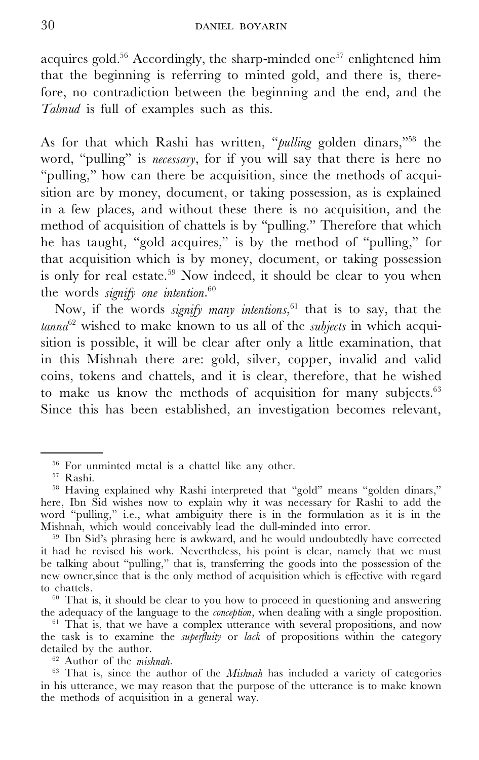acquires gold.<sup>56</sup> Accordingly, the sharp-minded one<sup>57</sup> enlightened him that the beginning is referring to minted gold, and there is, therefore, no contradiction between the beginning and the end, and the *Talmud* is full of examples such as this.

As for that which Rashi has written, "*pulling* golden dinars,"<sup>58</sup> the word, "pulling" is *necessary*, for if you will say that there is here no "pulling," how can there be acquisition, since the methods of acquisition are by money, document, or taking possession, as is explained in a few places, and without these there is no acquisition, and the method of acquisition of chattels is by "pulling." Therefore that which he has taught, "gold acquires," is by the method of "pulling," for that acquisition which is by money, document, or taking possession is only for real estate.<sup>59</sup> Now indeed, it should be clear to you when the words *signify one intention*.<sup>60</sup>

Now, if the words *signify many intentions*,<sup>61</sup> that is to say, that the *tanna*<sup>62</sup> wished to make known to us all of the *subjects* in which acquisition is possible, it will be clear after only a little examination, that in this Mishnah there are: gold, silver, copper, invalid and valid coins, tokens and chattels, and it is clear, therefore, that he wished to make us know the methods of acquisition for many subjects.<sup>63</sup> Since this has been established, an investigation becomes relevant,

<sup>62</sup> Author of the *mishnah*.

<sup>56</sup> For unminted metal is a chattel like any other.

<sup>57</sup> Rashi.

<sup>&</sup>lt;sup>58</sup> Having explained why Rashi interpreted that "gold" means "golden dinars," here, Ibn Sid wishes now to explain why it was necessary for Rashi to add the word "pulling," i.e., what ambiguity there is in the formulation as it is in the Mishnah, which would conceivably lead the dull-minded into error.

<sup>59</sup> Ibn Sid's phrasing here is awkward, and he would undoubtedly have corrected it had he revised his work. Nevertheless, his point is clear, namely that we must be talking about "pulling," that is, transferring the goods into the possession of the new owner, since that is the only method of acquisition which is effective with regard to chattels.

<sup>&</sup>lt;sup>60</sup> That is, it should be clear to you how to proceed in questioning and answering the adequacy of the language to the *conception*, when dealing with a single proposition.

 $61$  That is, that we have a complex utterance with several propositions, and now the task is to examine the *superfluity* or *lack* of propositions within the category detailed by the author.

<sup>63</sup> That is, since the author of the *Mishnah* has included a variety of categories in his utterance, we may reason that the purpose of the utterance is to make known the methods of acquisition in a general way.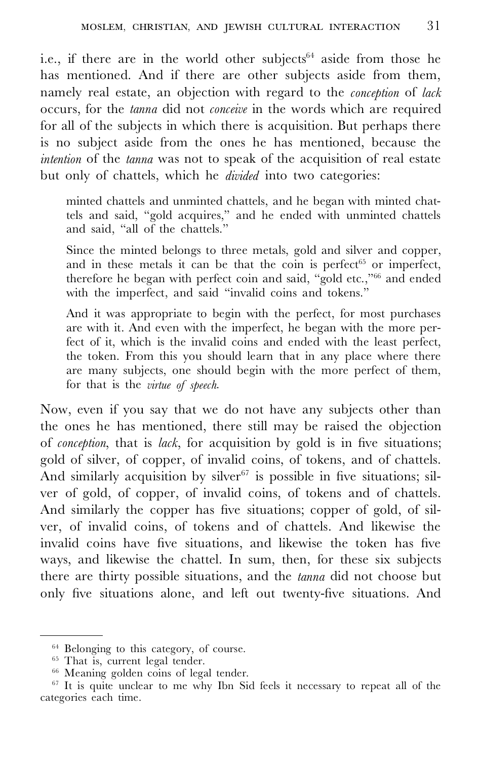i.e., if there are in the world other subjects<sup>64</sup> aside from those he has mentioned. And if there are other subjects aside from them, namely real estate, an objection with regard to the *conception* of *lack* occurs, for the *tanna* did not *conceive* in the words which are required for all of the subjects in which there is acquisition. But perhaps there is no subject aside from the ones he has mentioned, because the *intention* of the *tanna* was not to speak of the acquisition of real estate but only of chattels, which he *divided* into two categories:

minted chattels and unminted chattels, and he began with minted chattels and said, "gold acquires," and he ended with unminted chattels and said, "all of the chattels."

Since the minted belongs to three metals, gold and silver and copper, and in these metals it can be that the coin is perfect $65$  or imperfect, therefore he began with perfect coin and said, "gold etc.,"<sup>66</sup> and ended with the imperfect, and said "invalid coins and tokens."

And it was appropriate to begin with the perfect, for most purchases are with it. And even with the imperfect, he began with the more perfect of it, which is the invalid coins and ended with the least perfect, the token. From this you should learn that in any place where there are many subjects, one should begin with the more perfect of them, for that is the *virtue of speech*.

Now, even if you say that we do not have any subjects other than the ones he has mentioned, there still may be raised the objection of *conception*, that is *lack*, for acquisition by gold is in five situations; gold of silver, of copper, of invalid coins, of tokens, and of chattels. And similarly acquisition by silver $67$  is possible in five situations; silver of gold, of copper, of invalid coins, of tokens and of chattels. And similarly the copper has five situations; copper of gold, of silver, of invalid coins, of tokens and of chattels. And likewise the invalid coins have five situations, and likewise the token has five ways, and likewise the chattel. In sum, then, for these six subjects there are thirty possible situations, and the *tanna* did not choose but only five situations alone, and left out twenty-five situations. And

<sup>&</sup>lt;sup>64</sup> Belonging to this category, of course.

<sup>&</sup>lt;sup>65</sup> That is, current legal tender.

<sup>66</sup> Meaning golden coins of legal tender.

<sup>67</sup> It is quite unclear to me why Ibn Sid feels it necessary to repeat all of the categories each time.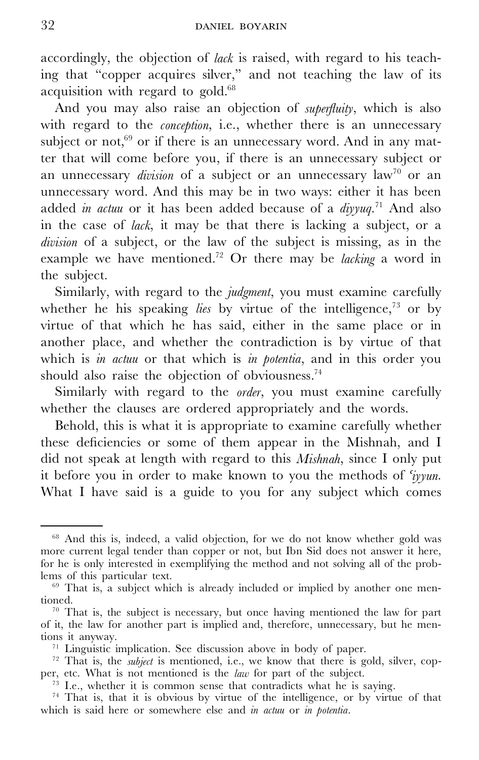accordingly, the objection of *lack* is raised, with regard to his teaching that "copper acquires silver," and not teaching the law of its acquisition with regard to gold.<sup>68</sup>

And you may also raise an objection of *superfluity*, which is also with regard to the *conception*, i.e., whether there is an unnecessary subject or not,<sup>69</sup> or if there is an unnecessary word. And in any matter that will come before you, if there is an unnecessary subject or an unnecessary *division* of a subject or an unnecessary law<sup>70</sup> or an unnecessary word. And this may be in two ways: either it has been added *in actuu* or it has been added because of a *diyyuq*.<sup>71</sup> And also in the case of *lack*, it may be that there is lacking a subject, or a *division* of a subject, or the law of the subject is missing, as in the example we have mentioned.<sup>72</sup> Or there may be *lacking* a word in the subject.

Similarly, with regard to the *judgment*, you must examine carefully whether he his speaking *lies* by virtue of the intelligence,<sup>73</sup> or by virtue of that which he has said, either in the same place or in another place, and whether the contradiction is by virtue of that which is *in actuu* or that which is *in potentia*, and in this order you should also raise the objection of obviousness.<sup>74</sup>

Similarly with regard to the *order*, you must examine carefully whether the clauses are ordered appropriately and the words.

Behold, this is what it is appropriate to examine carefully whether these deficiencies or some of them appear in the Mishnah, and I did not speak at length with regard to this *Mishnah*, since I only put it before you in order to make known to you the methods of *'iyyun*. What I have said is a guide to you for any subject which comes

<sup>&</sup>lt;sup>68</sup> And this is, indeed, a valid objection, for we do not know whether gold was more current legal tender than copper or not, but Ibn Sid does not answer it here, for he is only interested in exemplifying the method and not solving all of the problems of this particular text.

 $69$  That is, a subject which is already included or implied by another one mentioned.

<sup>&</sup>lt;sup>70</sup> That is, the subject is necessary, but once having mentioned the law for part of it, the law for another part is implied and, therefore, unnecessary, but he mentions it anyway.

<sup>71</sup> Linguistic implication. See discussion above in body of paper.

<sup>72</sup> That is, the *subject* is mentioned, i.e., we know that there is gold, silver, copper, etc. What is not mentioned is the *law* for part of the subject.

 $7<sup>3</sup>$  I.e., whether it is common sense that contradicts what he is saying.

<sup>74</sup> That is, that it is obvious by virtue of the intelligence, or by virtue of that which is said here or somewhere else and *in actuu* or *in potentia*.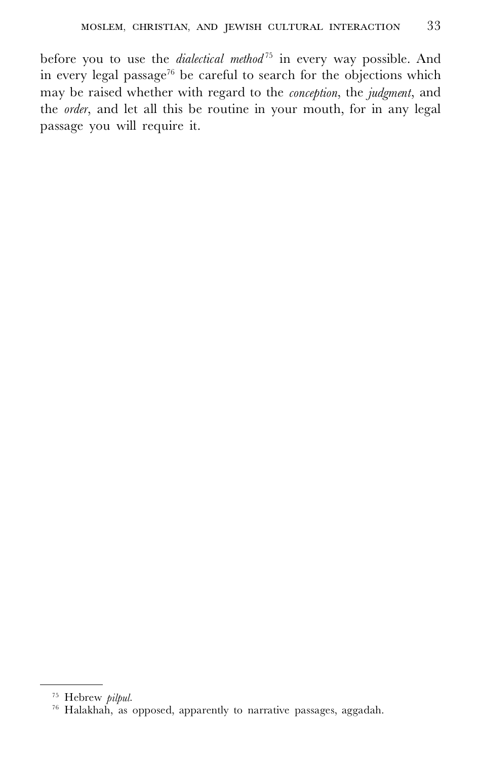before you to use the *dialectical method*<sup>75</sup> in every way possible. And in every legal passage<sup>76</sup> be careful to search for the objections which may be raised whether with regard to the *conception*, the *judgment*, and the *order*, and let all this be routine in your mouth, for in any legal passage you will require it.

<sup>75</sup> Hebrew *pilpul*.

 $^{76}$  Halakhah, as opposed, apparently to narrative passages, aggadah.